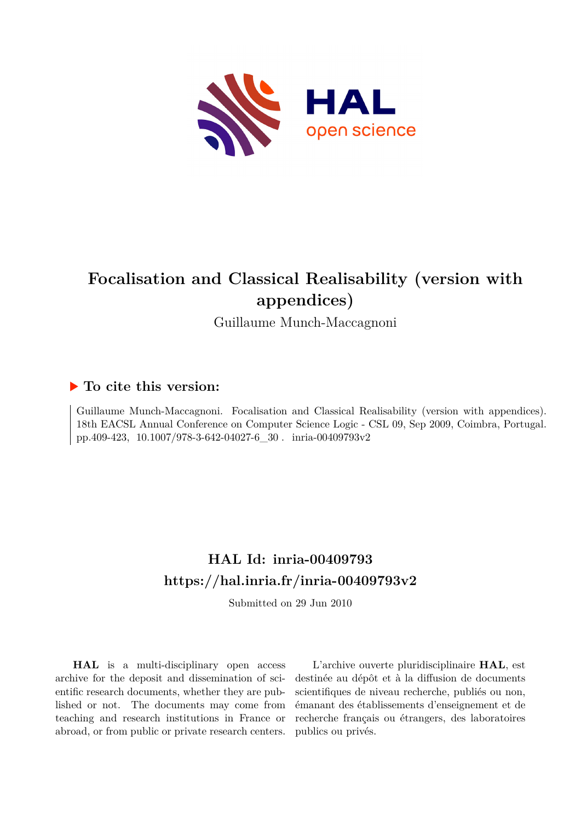

# **Focalisation and Classical Realisability (version with appendices)**

Guillaume Munch-Maccagnoni

# **To cite this version:**

Guillaume Munch-Maccagnoni. Focalisation and Classical Realisability (version with appendices). 18th EACSL Annual Conference on Computer Science Logic - CSL 09, Sep 2009, Coimbra, Portugal. pp.409-423,  $10.1007/978$ -3-642-04027-6\_30  $\ldots$  inria-00409793v2

# **HAL Id: inria-00409793 <https://hal.inria.fr/inria-00409793v2>**

Submitted on 29 Jun 2010

**HAL** is a multi-disciplinary open access archive for the deposit and dissemination of scientific research documents, whether they are published or not. The documents may come from teaching and research institutions in France or abroad, or from public or private research centers.

L'archive ouverte pluridisciplinaire **HAL**, est destinée au dépôt et à la diffusion de documents scientifiques de niveau recherche, publiés ou non, émanant des établissements d'enseignement et de recherche français ou étrangers, des laboratoires publics ou privés.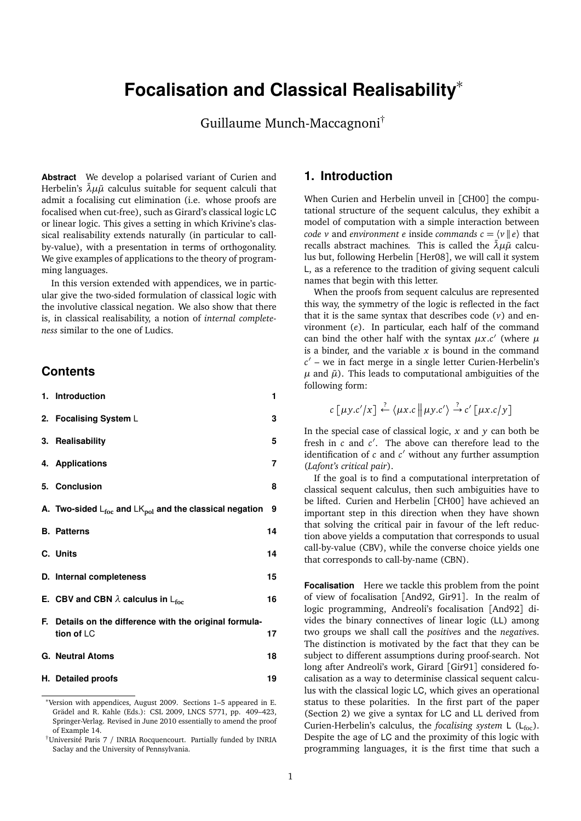# **Focalisation and Classical Realisability**<sup>∗</sup>

Guillaume Munch-Maccagnoni†

**Abstract** We develop a polarised variant of Curien and Herbelin's  $λμ\tilde{μ}$  calculus suitable for sequent calculi that admit a focalising cut elimination (i.e. whose proofs are focalised when cut-free), such as Girard's classical logic LC or linear logic. This gives a setting in which Krivine's classical realisability extends naturally (in particular to callby-value), with a presentation in terms of orthogonality. We give examples of applications to the theory of programming languages.

In this version extended with appendices, we in particular give the two-sided formulation of classical logic with the involutive classical negation. We also show that there is, in classical realisability, a notion of *internal completeness* similar to the one of Ludics.

### **Contents**

| 1. Introduction                                                                | 1  |
|--------------------------------------------------------------------------------|----|
| 2. Focalising System L                                                         | 3  |
| 3. Realisability                                                               | 5  |
| 4. Applications                                                                | 7  |
| 5. Conclusion                                                                  | 8  |
| A. Two-sided $L_{\text{foc}}$ and $LK_{\text{pol}}$ and the classical negation | 9  |
| <b>B.</b> Patterns                                                             | 14 |
| C. Units                                                                       | 14 |
| D. Internal completeness                                                       | 15 |
| E. CBV and CBN $\lambda$ calculus in L <sub>foc</sub>                          | 16 |
| F. Details on the difference with the original formula-<br>tion of LC          | 17 |
| <b>G. Neutral Atoms</b>                                                        | 18 |
| H. Detailed proofs                                                             | 19 |

## **1. Introduction**

When Curien and Herbelin unveil in [CH00] the computational structure of the sequent calculus, they exhibit a model of computation with a simple interaction between *code v* and *environment e* inside *commands*  $c = \langle v | e \rangle$  that recalls abstract machines. This is called the  $\bar{\lambda}\mu\tilde{\mu}$  calculus but, following Herbelin [Her08], we will call it system L, as a reference to the tradition of giving sequent calculi names that begin with this letter.

When the proofs from sequent calculus are represented this way, the symmetry of the logic is reflected in the fact that it is the same syntax that describes code (*v*) and environment (*e*). In particular, each half of the command can bind the other half with the syntax  $\mu x.c'$  (where  $\mu$ is a binder, and the variable *x* is bound in the command *c* 0 – we in fact merge in a single letter Curien-Herbelin's  $\mu$  and  $\tilde{\mu}$ ). This leads to computational ambiguities of the following form:

$$
c \left[ \mu y.c'/x \right] \stackrel{?}{\leftarrow} \langle \mu x.c \, || \mu y.c' \rangle \stackrel{?}{\rightarrow} c' \left[ \mu x.c/y \right]
$$

In the special case of classical logic,  $x$  and  $y$  can both be fresh in  $c$  and  $c'$ . The above can therefore lead to the identification of  $c$  and  $c'$  without any further assumption (*Lafont's critical pair*).

If the goal is to find a computational interpretation of classical sequent calculus, then such ambiguities have to be lifted. Curien and Herbelin [CH00] have achieved an important step in this direction when they have shown that solving the critical pair in favour of the left reduction above yields a computation that corresponds to usual call-by-value (CBV), while the converse choice yields one that corresponds to call-by-name (CBN).

**Focalisation** Here we tackle this problem from the point of view of focalisation [And92, Gir91]. In the realm of logic programming, Andreoli's focalisation [And92] divides the binary connectives of linear logic (LL) among two groups we shall call the *positive*s and the *negative*s. The distinction is motivated by the fact that they can be subject to different assumptions during proof-search. Not long after Andreoli's work, Girard [Gir91] considered focalisation as a way to determinise classical sequent calculus with the classical logic LC, which gives an operational status to these polarities. In the first part of the paper (Section 2) we give a syntax for LC and LL derived from Curien-Herbelin's calculus, the *focalising system* L (L<sub>foc</sub>). Despite the age of LC and the proximity of this logic with programming languages, it is the first time that such a

<sup>∗</sup>Version with appendices, August 2009. Sections 1–5 appeared in E. Grädel and R. Kahle (Eds.): CSL 2009, LNCS 5771, pp. 409–423, Springer-Verlag. Revised in June 2010 essentially to amend the proof of Example 14.

<sup>†</sup>Université Paris 7 / INRIA Rocquencourt. Partially funded by INRIA Saclay and the University of Pennsylvania.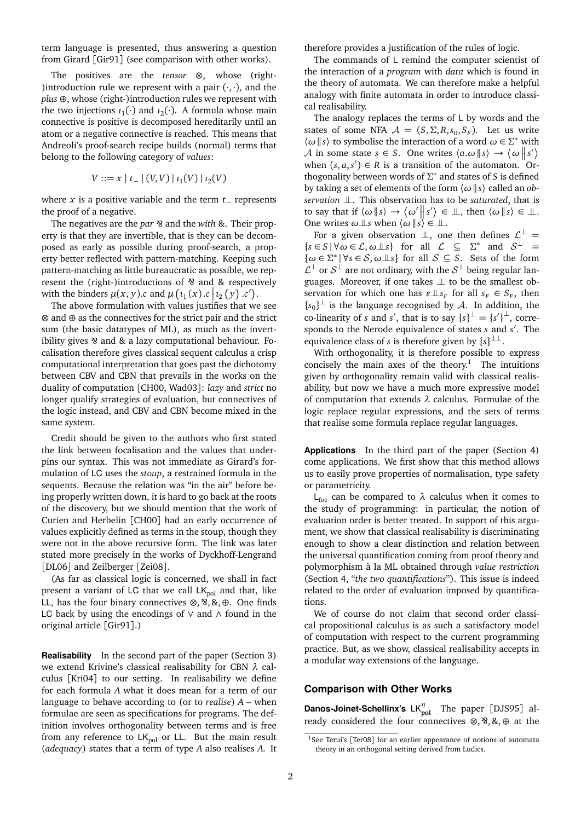term language is presented, thus answering a question from Girard [Gir91] (see comparison with other works).

The positives are the *tensor* ⊗, whose (right- ) introduction rule we represent with a pair  $(\cdot, \cdot)$ , and the *plus* ⊕, whose (right-)introduction rules we represent with the two injections  $\iota_1(\cdot)$  and  $\iota_2(\cdot)$ . A formula whose main connective is positive is decomposed hereditarily until an atom or a negative connective is reached. This means that Andreoli's proof-search recipe builds (normal) terms that belong to the following category of *values*:

$$
V ::= x | t_- | (V, V) | t_1(V) | t_2(V)
$$

where *x* is a positive variable and the term *t*<sup>−</sup> represents the proof of a negative.

The negatives are the *par* & and the *with* &. Their property is that they are invertible, that is they can be decomposed as early as possible during proof-search, a property better reflected with pattern-matching. Keeping such pattern-matching as little bureaucratic as possible, we represent the (right-)introductions of & and & respectively with the binders  $\mu(x, y)$ .*c* and  $\mu\left(\iota_1(x) \cdot c \,|\, \iota_2(y) \cdot c'\right)$ .

The above formulation with values justifies that we see ⊗ and ⊕ as the connectives for the strict pair and the strict sum (the basic datatypes of ML), as much as the invertibility gives & and & a lazy computational behaviour. Focalisation therefore gives classical sequent calculus a crisp computational interpretation that goes past the dichotomy between CBV and CBN that prevails in the works on the duality of computation [CH00, Wad03]: *lazy* and *strict* no longer qualify strategies of evaluation, but connectives of the logic instead, and CBV and CBN become mixed in the same system.

Credit should be given to the authors who first stated the link between focalisation and the values that underpins our syntax. This was not immediate as Girard's formulation of LC uses the *stoup*, a restrained formula in the sequents. Because the relation was "in the air" before being properly written down, it is hard to go back at the roots of the discovery, but we should mention that the work of Curien and Herbelin [CH00] had an early occurrence of values explicitly defined as terms in the stoup, though they were not in the above recursive form. The link was later stated more precisely in the works of Dyckhoff-Lengrand [DL06] and Zeilberger [Zei08].

(As far as classical logic is concerned, we shall in fact present a variant of LC that we call  $LK_{pol}$  and that, like LL, has the four binary connectives ⊗, ⊗, &, ⊕. One finds LC back by using the encodings of ∨ and ∧ found in the original article [Gir91].)

**Realisability** In the second part of the paper (Section 3) we extend Krivine's classical realisability for CBN *λ* calculus [Kri04] to our setting. In realisability we define for each formula *A* what it does mean for a term of our language to behave according to (or to *realise*) *A* – when formulae are seen as specifications for programs. The definition involves orthogonality between terms and is free from any reference to  $LK_{pol}$  or LL. But the main result (*adequacy*) states that a term of type *A* also realises *A*. It

therefore provides a justification of the rules of logic.

The commands of L remind the computer scientist of the interaction of a *program* with *data* which is found in the theory of automata. We can therefore make a helpful analogy with finite automata in order to introduce classical realisability.

The analogy replaces the terms of L by words and the states of some NFA  $A = (S, \Sigma, R, s_0, S_F)$ . Let us write  $\langle \omega | s \rangle$  to symbolise the interaction of a word  $\omega \in \Sigma^*$  with A in some state  $s \in S$ . One writes  $\langle a.\omega | s \rangle \rightarrow \langle \omega | s' \rangle$ when  $(s, a, s') \in R$  is a transition of the automaton. <sup>"</sup>Orthogonality between words of  $\Sigma^*$  and states of *S* is defined by taking a set of elements of the form 〈*ω* ||*s*〉 called an *observation*  $\perp$ . This observation has to be *saturated*, that is to say that if  $\langle \omega | s \rangle \rightarrow \langle \omega' | s' \rangle \in \mathbb{L}$ , then  $\langle \omega | s \rangle \in \mathbb{L}$ . One writes  $\omega \perp s$  when  $\langle \omega | s \rangle \in \perp$ .

For a given observation  $\perp\!\!\!\perp$ , one then defines  $\mathcal{L}^{\perp}$  =  ${s \in S \mid \forall \omega \in \mathcal{L}, \omega \perp s}$  for all  $\mathcal{L} \subseteq \Sigma^*$  and  $\mathcal{S}^{\perp} =$  $\{\omega \in \Sigma^* \mid \forall s \in \mathcal{S}, \omega \perp s\}$  for all  $\mathcal{S} \subseteq \mathcal{S}$ . Sets of the form  $\mathcal{L}^{\perp}$  or  $\mathcal{S}^{\perp}$  are not ordinary, with the  $\mathcal{S}^{\perp}$  being regular languages. Moreover, if one takes  $\perp\!\!\!\perp$  to be the smallest observation for which one has  $\varepsilon \perp s_F$  for all  $s_F \in S_F$ , then { $s_0$ <sup>}⊥</sup> is the language recognised by *A*. In addition, the co-linearity of *s* and *s'*, that is to say  ${s}^{\perp} = {s'}^{\perp}$ , corresponds to the Nerode equivalence of states *s* and *s'*. The equivalence class of *s* is therefore given by  $\{s\}^{\perp\perp}$ .

With orthogonality, it is therefore possible to express concisely the main axes of the theory.<sup>1</sup> The intuitions given by orthogonality remain valid with classical realisability, but now we have a much more expressive model of computation that extends *λ* calculus. Formulae of the logic replace regular expressions, and the sets of terms that realise some formula replace regular languages.

**Applications** In the third part of the paper (Section 4) come applications. We first show that this method allows us to easily prove properties of normalisation, type safety or parametricity.

L<sub>foc</sub> can be compared to  $λ$  calculus when it comes to the study of programming: in particular, the notion of evaluation order is better treated. In support of this argument, we show that classical realisability is discriminating enough to show a clear distinction and relation between the universal quantification coming from proof theory and polymorphism à la ML obtained through *value restriction* (Section 4, "*the two quantifications*"). This issue is indeed related to the order of evaluation imposed by quantifications.

We of course do not claim that second order classical propositional calculus is as such a satisfactory model of computation with respect to the current programming practice. But, as we show, classical realisability accepts in a modular way extensions of the language.

#### **Comparison with Other Works**

**Danos-Joinet-Schellinx's** LK<sup>η</sup><sub>pol</sub> The paper [DJS95] already considered the four connectives  $\otimes$ ,  $\otimes$ ,  $\otimes$ ,  $\oplus$  at the

<sup>&</sup>lt;sup>1</sup>See Terui's [Ter08] for an earlier appearance of notions of automata theory in an orthogonal setting derived from Ludics.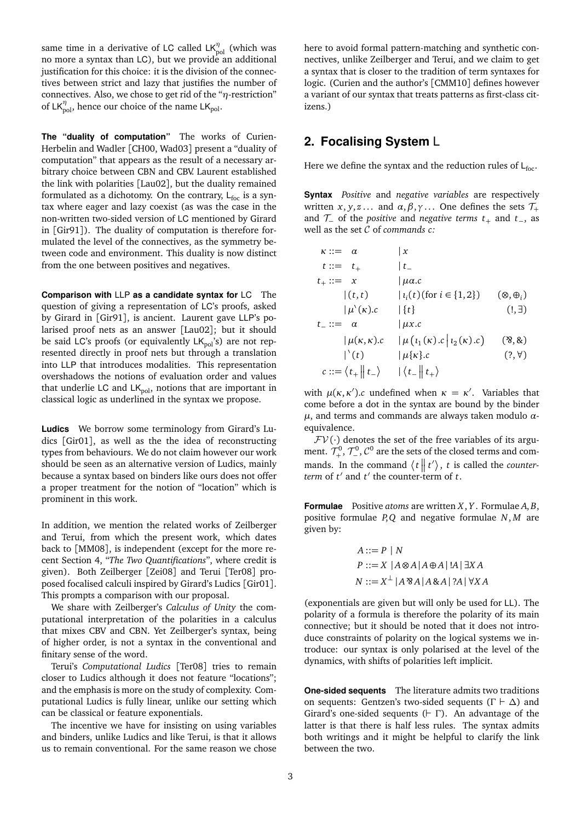same time in a derivative of LC called LK<sup>η</sup><sub>pol</sub> (which was no more a syntax than LC), but we provide an additional justification for this choice: it is the division of the connectives between strict and lazy that justifies the number of connectives. Also, we chose to get rid of the "*η*-restriction" of  $LK_{pol}^{\eta}$ , hence our choice of the name  $LK_{pol}$ .

**The "duality of computation"** The works of Curien-Herbelin and Wadler [CH00, Wad03] present a "duality of computation" that appears as the result of a necessary arbitrary choice between CBN and CBV. Laurent established the link with polarities [Lau02], but the duality remained formulated as a dichotomy. On the contrary,  $L_{\text{foc}}$  is a syntax where eager and lazy coexist (as was the case in the non-written two-sided version of LC mentioned by Girard in [Gir91]). The duality of computation is therefore formulated the level of the connectives, as the symmetry between code and environment. This duality is now distinct from the one between positives and negatives.

**Comparison with** LLP **as a candidate syntax for** LC The question of giving a representation of LC's proofs, asked by Girard in [Gir91], is ancient. Laurent gave LLP's polarised proof nets as an answer [Lau02]; but it should be said LC's proofs (or equivalently  $LK_{pol}$ 's) are not represented directly in proof nets but through a translation into LLP that introduces modalities. This representation overshadows the notions of evaluation order and values that underlie LC and  $LK_{pol}$ , notions that are important in classical logic as underlined in the syntax we propose.

**Ludics** We borrow some terminology from Girard's Ludics [Gir01], as well as the the idea of reconstructing types from behaviours. We do not claim however our work should be seen as an alternative version of Ludics, mainly because a syntax based on binders like ours does not offer a proper treatment for the notion of "location" which is prominent in this work.

In addition, we mention the related works of Zeilberger and Terui, from which the present work, which dates back to [MM08], is independent (except for the more recent Section 4, "*The Two Quantifications*", where credit is given). Both Zeilberger [Zei08] and Terui [Ter08] proposed focalised calculi inspired by Girard's Ludics [Gir01]. This prompts a comparison with our proposal.

We share with Zeilberger's *Calculus of Unity* the computational interpretation of the polarities in a calculus that mixes CBV and CBN. Yet Zeilberger's syntax, being of higher order, is not a syntax in the conventional and finitary sense of the word.

Terui's *Computational Ludics* [Ter08] tries to remain closer to Ludics although it does not feature "locations"; and the emphasis is more on the study of complexity. Computational Ludics is fully linear, unlike our setting which can be classical or feature exponentials.

The incentive we have for insisting on using variables and binders, unlike Ludics and like Terui, is that it allows us to remain conventional. For the same reason we chose here to avoid formal pattern-matching and synthetic connectives, unlike Zeilberger and Terui, and we claim to get a syntax that is closer to the tradition of term syntaxes for logic. (Curien and the author's [CMM10] defines however a variant of our syntax that treats patterns as first-class citizens.)

## **2. Focalising System** L

Here we define the syntax and the reduction rules of  $L_{\text{foc}}$ .

**Syntax** *Positive* and *negative variables* are respectively written *x*, *y*, *z* . . . and  $\alpha$ ,  $\beta$ ,  $\gamma$  . . . One defines the sets  $\mathcal{T}_+$ and T<sup>−</sup> of the *positive* and *negative terms t*<sup>+</sup> and *t*−, as well as the set C of *commands c:*

$$
\kappa ::= \alpha \qquad | x
$$
\n
$$
t ::= t_{+} \qquad | t_{-}
$$
\n
$$
t_{+} ::= x \qquad | \mu \alpha.c
$$
\n
$$
| (t, t) \qquad | t_{i}(t) \text{ (for } i \in \{1, 2\}) \qquad (\otimes, \oplus_{i})
$$
\n
$$
| \mu^{\backslash}(\kappa).c \qquad | \{t\} \qquad (1, \exists)
$$
\n
$$
t_{-} ::= \alpha \qquad | \mu x.c
$$
\n
$$
| \mu(\kappa, \kappa).c \qquad | \mu(t_{1}(\kappa).c | t_{2}(\kappa).c) \qquad (\mathfrak{F}, \mathfrak{F})
$$
\n
$$
| \uparrow (t) \qquad | \mu \{\kappa\}.c \qquad (?, \forall)
$$
\n
$$
c ::= \langle t_{+} || t_{-} \rangle \qquad | \langle t_{-} || t_{+} \rangle
$$

with  $\mu(\kappa, \kappa')$ .*c* undefined when  $\kappa = \kappa'$ . Variables that come before a dot in the syntax are bound by the binder *µ*, and terms and commands are always taken modulo *α*equivalence.

 $FV(\cdot)$  denotes the set of the free variables of its argument.  $\mathcal{T}^0_+$  $\mathcal{F}^0_+$ ,  $\mathcal{T}^0_-$ ,  $\mathcal{C}^0$  are the sets of the closed terms and commands. In the command  $\langle t \vert t' \rangle$ , *t* is called the *counterterm* of  $t'$  and  $t'$  the counter-term of  $t$ .

**Formulae** Positive *atoms* are written *X*, *Y* . Formulae *A*, *B*, positive formulae *P*,*Q* and negative formulae *N*, *M* are given by:

$$
A ::= P | N
$$
  

$$
P ::= X | A \otimes A | A \oplus A | A | A | \exists X A
$$
  

$$
N ::= X^{\perp} | A \otimes A | A \otimes A | ?A | \forall X A
$$

(exponentials are given but will only be used for LL). The polarity of a formula is therefore the polarity of its main connective; but it should be noted that it does not introduce constraints of polarity on the logical systems we introduce: our syntax is only polarised at the level of the dynamics, with shifts of polarities left implicit.

**One-sided sequents** The literature admits two traditions on sequents: Gentzen's two-sided sequents ( $\Gamma \vdash \Delta$ ) and Girard's one-sided sequents  $( \vdash \Gamma )$ . An advantage of the latter is that there is half less rules. The syntax admits both writings and it might be helpful to clarify the link between the two.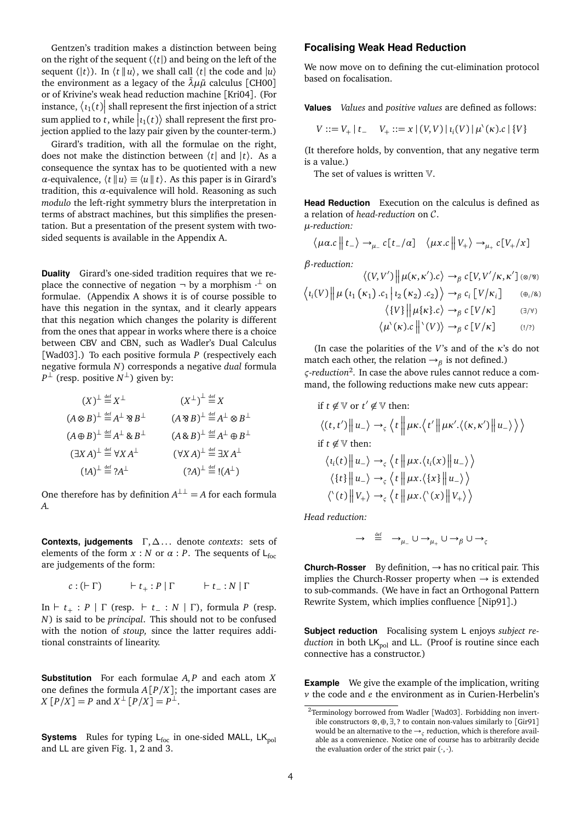Gentzen's tradition makes a distinction between being on the right of the sequent  $(\langle t \rangle)$  and being on the left of the sequent  $(|t\rangle)$ . In  $\langle t | u \rangle$ , we shall call  $\langle t |$  the code and  $|u\rangle$ the environment as a legacy of the  $\bar{\lambda} \mu \tilde{\mu}$  calculus [CH00] or of Krivine's weak head reduction machine [Kri04]. (For instance,  $\langle i_1(t)|$  shall represent the first injection of a strict sum applied to *t*, while  $|i_1(t)\rangle$  shall represent the first projection applied to the lazy pair given by the counter-term.)

Girard's tradition, with all the formulae on the right, does not make the distinction between 〈*t*| and |*t*〉. As a consequence the syntax has to be quotiented with a new *α*-equivalence,  $\langle t | u \rangle \equiv \langle u | t \rangle$ . As this paper is in Girard's tradition, this *α*-equivalence will hold. Reasoning as such *modulo* the left-right symmetry blurs the interpretation in terms of abstract machines, but this simplifies the presentation. But a presentation of the present system with twosided sequents is available in the Appendix A.

**Duality** Girard's one-sided tradition requires that we replace the connective of negation  $\neg$  by a morphism  $\neg$  on formulae. (Appendix A shows it is of course possible to have this negation in the syntax, and it clearly appears that this negation which changes the polarity is different from the ones that appear in works where there is a choice between CBV and CBN, such as Wadler's Dual Calculus [Wad03].) To each positive formula *P* (respectively each negative formula *N*) corresponds a negative *dual* formula  $P^{\perp}$  (resp. positive  $N^{\perp}$ ) given by:

$$
(X)^{\perp} \stackrel{\text{def}}{=} X^{\perp} \qquad (X^{\perp})^{\perp} \stackrel{\text{def}}{=} X
$$
  
\n
$$
(A \otimes B)^{\perp} \stackrel{\text{def}}{=} A^{\perp} \otimes B^{\perp} \qquad (A \otimes B)^{\perp} \stackrel{\text{def}}{=} A^{\perp} \otimes B^{\perp}
$$
  
\n
$$
(A \oplus B)^{\perp} \stackrel{\text{def}}{=} A^{\perp} \otimes B^{\perp} \qquad (A \otimes B)^{\perp} \stackrel{\text{def}}{=} A^{\perp} \oplus B^{\perp}
$$
  
\n
$$
(B^{\perp})^{\perp} \stackrel{\text{def}}{=} \forall X A^{\perp} \qquad (\forall X A)^{\perp} \stackrel{\text{def}}{=} \exists X A^{\perp}
$$
  
\n
$$
(A^{\perp})^{\perp} \stackrel{\text{def}}{=} ?A^{\perp} \qquad (2A)^{\perp} \stackrel{\text{def}}{=} !(A^{\perp})
$$

One therefore has by definition  $A^{\perp \perp} = A$  for each formula *A*.

**Contexts, judgements** Γ,∆. . . denote *contexts*: sets of elements of the form  $x : N$  or  $\alpha : P$ . The sequents of L<sub>foc</sub> are judgements of the form:

$$
c:(\vdash \Gamma) \qquad \vdash t_+:P \mid \Gamma \qquad \vdash t_+:N \mid \Gamma
$$

In  $\vdash t_+ : P \mid \Gamma$  (resp.  $\vdash t_- : N \mid \Gamma$ ), formula *P* (resp. *N*) is said to be *principal*. This should not to be confused with the notion of *stoup,* since the latter requires additional constraints of linearity.

**Substitution** For each formulae *A*, *P* and each atom *X* one defines the formula  $A[P/X]$ ; the important cases are  $X[P/X] = P$  and  $X^{\perp}[P/X] = P^{\perp}$ .

**Systems** Rules for typing  $L_{\text{foc}}$  in one-sided MALL,  $LK_{\text{pol}}$ and LL are given Fig. 1, 2 and 3.

#### **Focalising Weak Head Reduction**

We now move on to defining the cut-elimination protocol based on focalisation.

**Values** *Values* and *positive values* are defined as follows:

$$
V ::= V_+ | t_- \quad V_+ ::= x | (V, V) | i_i(V) | \mu^{\backslash}(\kappa) . c | \{V\}
$$

(It therefore holds, by convention, that any negative term is a value.)

The set of values is written V.

**Head Reduction** Execution on the calculus is defined as a relation of *head-reduction* on C. *µ-reduction:*

$$
\langle \mu \alpha.c \mid t_{-} \rangle \rightarrow_{\mu_{-}} c[t_{-}/\alpha] \quad \langle \mu x.c \mid V_{+} \rangle \rightarrow_{\mu_{+}} c[V_{+}/x]
$$

*β-reduction:*

$$
\langle (V, V') \mid \mu(\kappa, \kappa').c \rangle \rightarrow_{\beta} c[V, V'/\kappa, \kappa'] \quad (\otimes/\mathfrak{B})
$$

$$
\langle l_i(V) \mid \mu(l_1(\kappa_1).c_1 \mid l_2(\kappa_2).c_2) \rangle \rightarrow_{\beta} c_i[V/\kappa_i] \quad (\oplus_i/\mathfrak{B})
$$

$$
\langle \{V\} \, \Big| \, \mu\{\kappa\}.c \rangle \to_{\beta} c \, [V/\kappa] \tag{3/4}
$$

$$
\langle \mu^{\backslash}(\kappa).c \, \big\| \,^{\backslash}(V) \rangle \to_{\beta} c \, [V/\kappa] \qquad \quad (! \wedge)
$$

(In case the polarities of the *V*'s and of the *κ*'s do not match each other, the relation  $\rightarrow_{\beta}$  is not defined.) *ς-reduction*2 *.* In case the above rules cannot reduce a command, the following reductions make new cuts appear:

if 
$$
t \notin \mathbb{V}
$$
 or  $t' \notin \mathbb{V}$  then:  
\n
$$
\langle (t, t') \| u_- \rangle \rightarrow_{\varsigma} \langle t \| \mu \kappa. \langle t' \| \mu \kappa'. \langle (\kappa, \kappa') \| u_- \rangle \rangle \rangle
$$
\nif  $t \notin \mathbb{V}$  then:  
\n
$$
\langle i_i(t) \| u_- \rangle \rightarrow_{\varsigma} \langle t \| \mu \kappa. \langle i_i(x) \| u_- \rangle \rangle
$$
\n
$$
\langle \{t\} \| u_- \rangle \rightarrow_{\varsigma} \langle t \| \mu \kappa. \langle \{x\} \| u_- \rangle \rangle
$$
\n
$$
\langle \langle t \rangle \| V_+ \rangle \rightarrow_{\varsigma} \langle t \| \mu \kappa. \langle \langle x \rangle \| V_+ \rangle \rangle
$$

*Head reduction:*

$$
\rightarrow \stackrel{\text{def}}{=} \rightarrow_{\mu_{-}} \cup \rightarrow_{\mu_{+}} \cup \rightarrow_{\beta} \cup \rightarrow_{\zeta}
$$

**Church-Rosser** By definition, → has no critical pair. This implies the Church-Rosser property when  $\rightarrow$  is extended to sub-commands. (We have in fact an Orthogonal Pattern Rewrite System, which implies confluence [Nip91].)

**Subject reduction** Focalising system L enjoys *subject reduction* in both LK<sub>pol</sub> and LL. (Proof is routine since each connective has a constructor.)

**Example** We give the example of the implication, writing *v* the code and *e* the environment as in Curien-Herbelin's

<sup>2</sup>Terminology borrowed from Wadler [Wad03]. Forbidding non invertible constructors ⊗,⊕,∃, ? to contain non-values similarly to [Gir91] would be an alternative to the →*<sup>ς</sup>* reduction, which is therefore available as a convenience. Notice one of course has to arbitrarily decide the evaluation order of the strict pair  $(\cdot, \cdot)$ .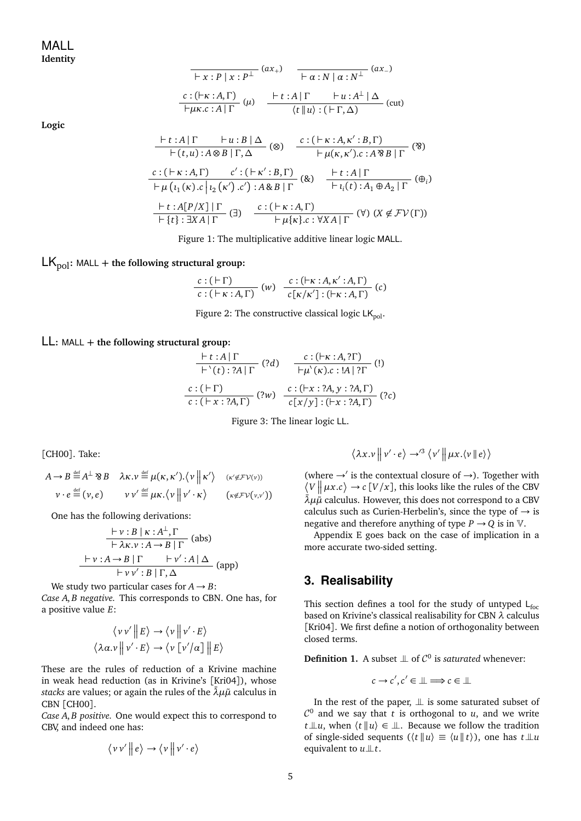$$
\frac{\begin{array}{c|c|c}\n\hline\n-x:P|x:P^{\perp}}\n\end{array}\n\quad\n\begin{array}{c|c}\n(ax_{+}) & -\frac{}{}& -\frac{}{}& -\frac{}{}& -\frac{}{}& -\frac{}{}& -\frac{}{}& -\frac{}{}& -\frac{}{}& -\frac{}{}& -\frac{}{}& -\frac{}{}& -\frac{}{}& -\frac{}{}& -\frac{}{}& -\frac{}{}& -\frac{}{}& -\frac{}{}& -\frac{}{}& -\frac{}{}& -\frac{}{}& -\frac{}{}& -\frac{}{}& -\frac{}{}& -\frac{}{}& -\frac{}{}& -\frac{}{}& -\frac{}{}& -\frac{}{}& -\frac{}{}& -\frac{}{}& -\frac{}{}& -\frac{}{}& -\frac{}{}& -\frac{}{}& -\frac{}{}& -\frac{}{}& -\frac{}{}& -\frac{}{}& -\frac{}{}& -\frac{}{}& -\frac{}{}& -\frac{}{}& -\frac{}{}& -\frac{}{}& -\frac{}{}& -\frac{}{}& -\frac{}{}& -\frac{}{}& -\frac{}{}& -\frac{}{}& -\frac{}{}& -\frac{}{}& -\frac{}{}& -\frac{}{}& -\frac{}{}& -\frac{}{}& -\frac{}{}& -\frac{}{}& -\frac{}{}& -\frac{}{}& -\frac{}{}& -\frac{}{}& -\frac{}{}& -\frac{}{}& -\frac{}{}& -\frac{}{}& -\frac{}{}& -\frac{}{}& -\frac{}{}& -\frac{}{}& -\frac{}{}& -\frac{}{}& -\frac{}{}& -\frac{}{}& -\frac{}{}& -\frac{}{}& -\frac{}{}& -\frac{}{}& -\frac{}{}& -\frac{}{}& -\frac{}{}& -\frac{}{}& -\frac{}{}& -\frac{}{}& -\frac{}{}& -\frac{}{}& -\frac{}{}& -\frac{}{}& -
$$

**Logic**

$$
\frac{\vdash t:A|\Gamma \vdash u:B|\Delta}{\vdash (t,u):A\otimes B|\Gamma,\Delta} \text{ (8)} \quad \frac{c:(\vdash \kappa:A,\kappa':B,\Gamma)}{\vdash \mu(\kappa,\kappa').c:A\otimes B|\Gamma} \text{ (8)}
$$
\n
$$
\frac{c:(\vdash \kappa:A,\Gamma) \qquad c':(\vdash \kappa':B,\Gamma)}{\vdash \mu(\iota_1(\kappa).c|\iota_2(\kappa').c'):A\otimes B|\Gamma} \text{ (8)} \quad \frac{\vdash t:A|\Gamma}{\vdash \iota_i(t):A_1\oplus A_2|\Gamma} \text{ (9)} \text{ (9)}
$$
\n
$$
\frac{\vdash t:A[P/X]| \Gamma}{\vdash \{\iota\}:BXA|\Gamma} \text{ (7)} \quad \frac{c:(\vdash \kappa:A,\Gamma)}{\vdash \mu\{\kappa\}:c:XA|\Gamma} \text{ (Y)} \text{ (X }\notin \mathcal{FV}(\Gamma))}
$$

Figure 1: The multiplicative additive linear logic MALL.

 $LK_{\text{pol}}$ : MALL + the following structural group:

$$
\frac{c:(\vdash \Gamma)}{c:(\vdash \kappa:A,\Gamma)}\ (w)\ \ \frac{c:(\vdash \kappa:A,\kappa':A,\Gamma)}{c\left[\kappa/\kappa'\right]:(\vdash \kappa:A,\Gamma)}\ (c)
$$

Figure 2: The constructive classical logic  $LK_{pol}$ .

LL**:** MALL **+ the following structural group:**

$$
\frac{\vdash t:A \mid \Gamma}{\vdash \backslash(t): ?A \mid \Gamma} (?d) \quad \frac{c:(\vdash \kappa:A, ?\Gamma)}{\vdash \mu \backslash(\kappa).c:A \mid ?\Gamma} (1)
$$
\n
$$
\frac{c:(\vdash \Gamma)}{c:(\vdash x: ?A, \Gamma)} (?w) \quad \frac{c:(\vdash x: ?A, y: ?A, \Gamma)}{c[x/y]:(\vdash x: ?A, \Gamma)} (?c)
$$

Figure 3: The linear logic LL.

[CH00]. Take:

$$
A \to B \stackrel{\text{def}}{=} A^{\perp} \otimes B \quad \lambda \kappa. \nu \stackrel{\text{def}}{=} \mu(\kappa, \kappa'). \langle \nu \parallel \kappa' \rangle \quad (\kappa' \notin \mathcal{F} \mathcal{V}(\nu))
$$

$$
\nu \cdot e \stackrel{\text{def}}{=} (\nu, e) \qquad \nu \nu' \stackrel{\text{def}}{=} \mu \kappa. \langle \nu \parallel \nu' \cdot \kappa \rangle \qquad (\kappa \notin \mathcal{F} \mathcal{V}(\nu, \nu'))
$$

One has the following derivations:

$$
\frac{\vdash v : B \mid \kappa : A^{\perp}, \Gamma}{\vdash \lambda \kappa. v : A \to B \mid \Gamma} \text{ (abs)}
$$
  
 
$$
\frac{\vdash v : A \to B \mid \Gamma \quad \vdash v' : A \mid \Delta}{\vdash v v' : B \mid \Gamma, \Delta} \text{ (app)}
$$

We study two particular cases for  $A \rightarrow B$ : *Case A*, *B negative.* This corresponds to CBN. One has, for

a positive value *E*:

$$
\langle v v' || E \rangle \rightarrow \langle v || v' \cdot E \rangle
$$

$$
\langle \lambda \alpha. v || v' \cdot E \rangle \rightarrow \langle v [v'/\alpha] || E \rangle
$$

These are the rules of reduction of a Krivine machine in weak head reduction (as in Krivine's [Kri04]), whose *stacks* are values; or again the rules of the  $\bar{\lambda} \mu \tilde{\mu}$  calculus in CBN [CH00].

*Case A*, *B positive.* One would expect this to correspond to CBV, and indeed one has:

$$
\langle v v' \big\| e \rangle \rightarrow \langle v \big\| v' \cdot e \rangle
$$

$$
\left\langle \lambda x. \nu \left\| \nu' \cdot e \right\rangle \to'^3 \left\langle \nu' \left\| \mu x. \left\langle \nu \right\| e \right\rangle \right\rangle
$$

(where  $\rightarrow$  is the contextual closure of  $\rightarrow$ ). Together with  $\langle V | \mu x.c \rangle \rightarrow c [V/x]$ , this looks like the rules of the CBV  $\lambda \mu \mu$ <sup> $\alpha$ </sup> calculus. However, this does not correspond to a CBV calculus such as Curien-Herbelin's, since the type of  $\rightarrow$  is negative and therefore anything of type  $P \rightarrow Q$  is in  $V$ .

Appendix E goes back on the case of implication in a more accurate two-sided setting.

## **3. Realisability**

This section defines a tool for the study of untyped  $L_{\text{foc}}$ based on Krivine's classical realisability for CBN *λ* calculus [Kri04]. We first define a notion of orthogonality between closed terms.

**Definition 1.** A subset  $\perp \!\!\! \perp$  of  $\mathcal{C}^0$  is *saturated* whenever:

$$
c \to c', c' \in \perp \implies c \in \perp \perp
$$

In the rest of the paper,  $\perp\!\!\!\perp$  is some saturated subset of  $\mathcal{C}^0$  and we say that *t* is orthogonal to *u*, and we write  $t \perp u$ , when  $\langle t | u \rangle \in \perp$ . Because we follow the tradition of single-sided sequents ( $\langle t | u \rangle \equiv \langle u | t \rangle$ ), one has  $t \perp u$ equivalent to  $u \perp t$ .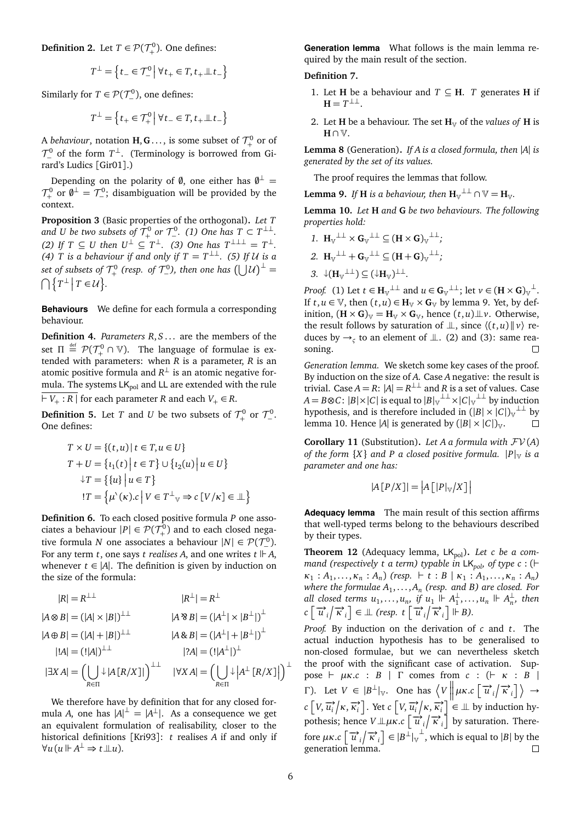**Definition 2.** Let  $T \in \mathcal{P}(\mathcal{T}_+^0)$  $\binom{0}{+}$ . One defines:

$$
T^{\perp} = \left\{ t_{-} \in \mathcal{T}_{-}^{0} \, \middle| \, \forall t_{+} \in T, t_{+} \perp t_{-} \right\}
$$

Similarly for  $T \in \mathcal{P}(\mathcal{T}_-^0)$ , one defines:

$$
T^{\perp} = \left\{ t_+ \in \mathcal{T}_+^0 \, \middle| \, \forall t_- \in T, t_+ \perp \!\!\! \perp t_- \right\}
$$

A *behaviour*, notation  $\textbf{H},\textbf{G} \ldots,$  is some subset of  $\mathcal{T}^0_+$  $+$ <sup>0</sup> or of  $\mathcal{T}^0_-$  of the form  $T^\perp$ . (Terminology is borrowed from Girard's Ludics [Gir01].)

Depending on the polarity of  $\emptyset$ , one either has  $\emptyset^{\perp}$  =  $\mathcal{T}^0_\pm$  $\tau_+^0$  or  $\emptyset^{\perp} = \mathcal{T}_-^0$ ; disambiguation will be provided by the context.

**Proposition 3** (Basic properties of the orthogonal)**.** *Let T* and U be two subsets of  $\mathcal{T}^0_+$  or  $\mathcal{T}^0_-\text{.}$  (1) One has  $T \subset T^{\perp\perp}$ .  $(2)$  If  $T \subseteq U$  then  $U^{\perp} \subseteq T^{\perp}$ . (3) One has  $T^{\perp \perp \perp} = T^{\perp}$ . *(4) T is a behaviour if and only if*  $T = T^{\perp\perp}$ *. (5) If U is a* set of subsets of  $\mathcal{T}^0_+$  $T^0_+$  (resp. of  $T^0_-$ ), then one has  $(\bigcup \mathcal{U})^{\perp} =$  $\bigcap \{ T^{\perp} \mid T \in \mathcal{U} \}.$ 

**Behaviours** We define for each formula a corresponding behaviour.

**Definition 4.** *Parameters R*, *S* . . . are the members of the set  $\Pi \stackrel{\text{\tiny def}}{=} \mathcal{P}(\mathcal{T}^0_+\cap \mathbb{V})$ . The language of formulae is extended with parameters: when  $R$  is a parameter,  $R$  is an atomic positive formula and  $R^{\perp}$  is an atomic negative formula. The systems  $LK_{pol}$  and LL are extended with the rule  $\overline{V+ : R \rvert}$  for each parameter *R* and each  $V_+ \in R$ .

**Definition 5.** Let  $T$  and  $U$  be two subsets of  $\mathcal{T}^0_+$  $\tau^0_+$  or  $\tau^0_-$ . One defines:

$$
T \times U = \{(t, u) | t \in T, u \in U\}
$$
  
\n
$$
T + U = \{t_1(t) | t \in T\} \cup \{t_2(u) | u \in U\}
$$
  
\n
$$
\downarrow T = \{\{u\} | u \in T\}
$$
  
\n
$$
!T = \{\mu^{\setminus}(\kappa).c | V \in T^{\perp} \cup \{v \in V/\kappa\} \in \mathbb{L}\}
$$

**Definition 6.** To each closed positive formula *P* one associates a behaviour  $|P| \in \mathcal{P}(\mathcal{T}^0_+)$  $^{10}_{+}$ ) and to each closed negative formula *N* one associates a behaviour  $|N| \in \mathcal{P}(\mathcal{T}_-^0)$ . For any term *t*, one says *t* realises *A*, and one writes  $t \, \parallel A$ , whenever  $t \in |A|$ . The definition is given by induction on the size of the formula:

$$
|R| = R^{\perp \perp}
$$
\n
$$
|A \otimes B| = (|A| \times |B|)^{\perp \perp}
$$
\n
$$
|A \otimes B| = (|A| + |B|)^{\perp \perp}
$$
\n
$$
|A \oplus B| = (|A| + |B|)^{\perp \perp}
$$
\n
$$
|A| = (!|A|)^{\perp \perp}
$$
\n
$$
|A| = (!|A|)^{\perp \perp}
$$
\n
$$
|A| = (!|A|)^{\perp \perp}
$$
\n
$$
|A| = (!|A|)^{\perp}
$$
\n
$$
|A| = (!|A|)^{\perp}
$$
\n
$$
|A| = (!|A|)^{\perp}
$$
\n
$$
|A| = (!|A|)^{\perp}
$$
\n
$$
|A| = (!|A|)^{\perp}
$$
\n
$$
|A| = (!|A|)^{\perp}
$$
\n
$$
|A| = (!|A|)^{\perp}
$$
\n
$$
|A| = (!|A|)^{\perp}
$$
\n
$$
|A| = (!|A|)^{\perp}
$$
\n
$$
|A| = (!|A|)^{\perp}
$$

We therefore have by definition that for any closed formula *A*, one has  $|A|^{\perp} = |A^{\perp}|$ . As a consequence we get an equivalent formulation of realisability, closer to the historical definitions [Kri93]: *t* realises *A* if and only if  $\forall u(u \Vdash A^{\perp} \Rightarrow t \perp u).$ 

**Generation lemma** What follows is the main lemma required by the main result of the section.

#### **Definition 7.**

- 1. Let **H** be a behaviour and  $T \subseteq H$ . *T* generates **H** if  $H = T^{\perp \perp}$ .
- 2. Let **H** be a behaviour. The set  $\mathbf{H}_{V}$  of the *values of* **H** is **H** ∩ V.

**Lemma 8** (Generation)**.** *If A is a closed formula, then* |*A*| *is generated by the set of its values.*

The proof requires the lemmas that follow.

**Lemma 9.** *If* **H** *is a behaviour, then*  $\mathbf{H}_{V}^{\perp\perp} \cap \mathbb{V} = \mathbf{H}_{V}$ .

**Lemma 10.** *Let* **H** *and* **G** *be two behaviours. The following properties hold:*

$$
1. \ \ \boldsymbol{H}_{\boldsymbol{\mathbb{V}}}{}^{\perp\perp} \times \boldsymbol{G}_{\boldsymbol{\mathbb{V}}}{}^{\perp\perp} \subseteq (\boldsymbol{H} \times \boldsymbol{G})_{\boldsymbol{\mathbb{V}}}{}^{\perp\perp};
$$

2. 
$$
H_{V}^{\perp\perp} + G_{V}^{\perp\perp} \subseteq (H + G)_{V}^{\perp\perp};
$$

3. 
$$
\downarrow (H_{\mathbb{V}}^{\perp \perp}) \subseteq (\downarrow H_{\mathbb{V}})^{\perp \perp}.
$$

*Proof.* (1) Let  $t \in H_{\mathbb{V}}^{\perp \perp}$  and  $u \in G_{\mathbb{V}}^{\perp \perp}$ ; let  $v \in (H \times G)_{\mathbb{V}}^{\perp}$ . If  $t, u \in \mathbb{V}$ , then  $(t, u) \in \mathbf{H}_{\mathbb{V}} \times \mathbf{G}_{\mathbb{V}}$  by lemma 9. Yet, by definition,  $(\mathbf{H} \times \mathbf{G})_{\mathbb{V}} = \mathbf{H}_{\mathbb{V}} \times \mathbf{G}_{\mathbb{V}}$ , hence  $(t, u) \perp v$ . Otherwise, the result follows by saturation of  $\perp$ , since  $\langle (t, u) \, | \, v \rangle$  reduces by  $\rightarrow$ <sub>*ς*</sub> to an element of  $\perp$ . (2) and (3): same reasoning.  $\Box$ 

*Generation lemma.* We sketch some key cases of the proof. By induction on the size of *A*. Case *A* negative: the result is trivial. Case *A* = *R*:  $|A| = R^{\perp \perp}$  and *R* is a set of values. Case *A* = *B*⊗*C*: |*B*|×|*C*| is equal to |*B*|<sub>V</sub><sup>⊥⊥</sup> ×|*C*|<sub>V</sub><sup>⊥⊥</sup> by induction hypothesis, and is therefore included in  $(|B| \times |C|)$ <sup>⊥⊥</sup> by lemma 10. Hence |*A*| is generated by  $(|B| \times |C|)$ <sub>V</sub>.  $\Box$ 

**Corollary 11** (Substitution). Let A a formula with  $\mathcal{FV}(A)$ *of the form*  ${X}$  *and P a closed positive formula.*  $|P|_V$  *is a parameter and one has:*

$$
|A[P/X]| = |A[|P|_{\mathbb{V}}/X]|
$$

**Adequacy lemma** The main result of this section affirms that well-typed terms belong to the behaviours described by their types.

Theorem 12 (Adequacy lemma, LK<sub>pol</sub>). Let c be a com*mand (respectively t a term) typable in*  $LK_{pol}$  *of type c* : ( $\vdash$  $\kappa_1 : A_1, \ldots, \kappa_n : A_n$  (resp.  $\vdash t : B \mid \kappa_1 : A_1, \ldots, \kappa_n : A_n$ ) *where the formulae A*<sup>1</sup> , . . . ,*A<sup>n</sup> (resp. and B) are closed. For all closed terms*  $u_1, \ldots, u_n$ , if  $u_1 \Vdash A_1^{\perp}$  $\frac{1}{1}, \ldots, u_n \Vdash A_n^{\perp}$  $\frac{1}{n}$ *,* then  $c \left[ \vec{u}_i / \vec{\kappa}_i \right] \in \mathbb{L}$  (resp. t  $\left[ \vec{u}_i / \vec{\kappa}_i \right] \models B$ ).

*Proof.* By induction on the derivation of *c* and *t*. The actual induction hypothesis has to be generalised to non-closed formulae, but we can nevertheless sketch the proof with the significant case of activation. Sup $pose \vdash \mu \kappa.c : B \mid \Gamma \text{ comes from } c : ( \vdash \kappa : B \mid$ Γ). Let *V* ∈  $|B^{\perp}|$ <sub>V</sub>. One has  $\langle V|$  $\left|\mu\kappa.c\left[\overrightarrow{u}_i/\overrightarrow{\kappa}_i\right]\right\rangle \rightarrow$  $c\left[V,\overrightarrow{u_i}\middle| \kappa,\overrightarrow{\kappa_i}\right]$ . Yet  $c\left[V,\overrightarrow{u_i}\middle| \kappa,\overrightarrow{\kappa_i}\right] \in \mathbb{L}$  by induction hypothesis; hence  $V \perp \mu \kappa$ .*c*  $\left[\vec{u}_i / \vec{\kappa}_i\right]$  by saturation. Therefore  $\mu \kappa$ .*c*  $\left[ \vec{u}_i / \vec{\kappa}_i \right] \in |B^{\perp}| \sqrt{\frac{1}{\kappa}}$ , which is equal to  $|B|$  by the generation lemma.

⊥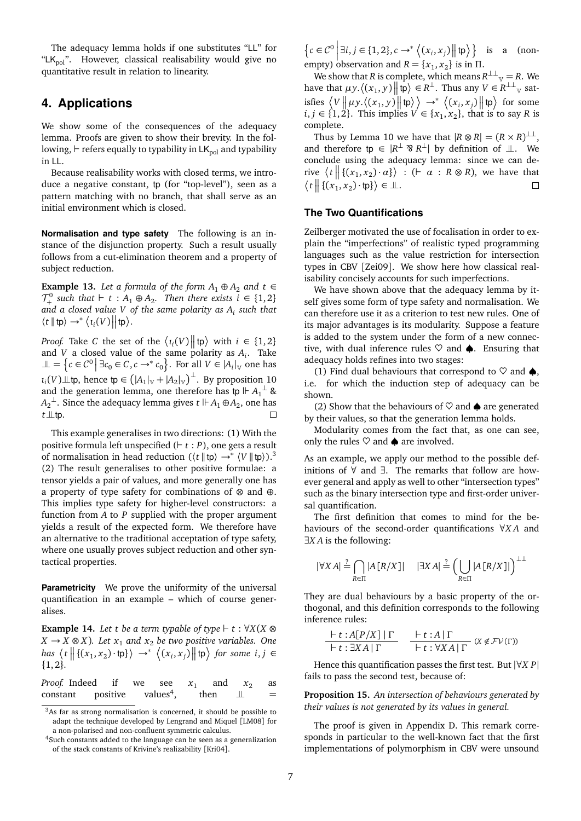The adequacy lemma holds if one substitutes "LL" for "L $K_{pol}$ ". However, classical realisability would give no quantitative result in relation to linearity.

# **4. Applications**

We show some of the consequences of the adequacy lemma. Proofs are given to show their brevity. In the following,  $\vdash$  refers equally to typability in LK<sub>pol</sub> and typability in LL.

Because realisability works with closed terms, we introduce a negative constant, tp (for "top-level"), seen as a pattern matching with no branch, that shall serve as an initial environment which is closed.

**Normalisation and type safety** The following is an instance of the disjunction property. Such a result usually follows from a cut-elimination theorem and a property of subject reduction.

**Example 13.** *Let a formula of the form*  $A_1 \oplus A_2$  *and*  $t \in$  $\mathcal{T}^0_+$ <sup>-0</sup> such that  $\vdash$  *t* : *A*<sub>1</sub> ⊕ *A*<sub>2</sub>. Then there exists *i* ∈ {1, 2} *and a closed value V of the same polarity as A<sup>i</sup> such that*  $\langle t |$   $|$  tp $\rangle \rightarrow^* \langle i_i(V) |$  tp $\rangle$ .

*Proof.* Take *C* the set of the  $\langle i_i(V) || \ket{\mathfrak{p}}$  with  $i \in \{1, 2\}$ and *V* a closed value of the same polarity as *A<sup>i</sup>* . Take  $\bot$  = {*c* ∈ *C*<sup>0</sup> | ∃*c*<sub>0</sub> ∈ *C*, *c* → \* *c*<sub>0</sub>}. For all *V* ∈ |*A*<sub>*i*</sub>|<sub>V</sub> one has  $\iota_i(V)$ ⊥tp, hence tp ∈  $(|A_1|_V + |A_2|_V)$ <sup>⊥</sup>. By proposition 10 and the generation lemma, one therefore has tp  $\Vdash A_1^{\perp}$  &  $A_2$ <sup>⊥</sup>. Since the adequacy lemma gives *t*  $\mathrel{\Vdash} A_1 \oplus A_2$ , one has  $t \perp\!\!\!\perp$ tp.

This example generalises in two directions: (1) With the positive formula left unspecified  $(F t : P)$ , one gets a result of normalisation in head reduction  $(\langle t | \text{tp} \rangle \rightarrow^* \langle V | \text{tp} \rangle)^3$ (2) The result generalises to other positive formulae: a tensor yields a pair of values, and more generally one has a property of type safety for combinations of ⊗ and ⊕. This implies type safety for higher-level constructors: a function from *A* to *P* supplied with the proper argument yields a result of the expected form. We therefore have an alternative to the traditional acceptation of type safety, where one usually proves subject reduction and other syntactical properties.

**Parametricity** We prove the uniformity of the universal quantification in an example – which of course generalises.

**Example 14.** Let t be a term typable of type  $\vdash t : \forall X (X \otimes$ *X* → *X* ⊗ *X*). Let  $x_1$  and  $x_2$  be two positive variables. One  $\left\{ \left\{ (x_1, x_2) \cdot \text{tp} \right\} \right\} \rightarrow^* \left\langle (x_i, x_j) \middle| \middle| \text{tp} \right\rangle \text{ for some } i, j \in \mathbb{Z}$ {1, 2}*.*

| <i>Proof.</i> Indeed if we see $x_1$ and $x_2$ as |  |  |  |          |
|---------------------------------------------------|--|--|--|----------|
| constant positive values <sup>4</sup> , then      |  |  |  | $\equiv$ |

<sup>3</sup>As far as strong normalisation is concerned, it should be possible to adapt the technique developed by Lengrand and Miquel [LM08] for a non-polarised and non-confluent symmetric calculus.

 $\left\{c \in \mathcal{C}^0 \middle| \exists i, j \in \{1, 2\}, c \rightarrow^* \left\langle (x_i, x_j) \middle| \{ \uparrow \phi \right\rangle \right\}$  is a (nonempty) observation and  $R = \{x_1, x_2\}$  is in  $\Pi$ .

We show that *R* is complete, which means  $R^{\perp\perp}$   $\vee$  = *R*. We have that  $\mu y$ .  $\langle (x_1, y) \mid | \text{tp} \rangle \in R^{\perp}$ . Thus any  $V \in R^{\perp \perp}$  satisfies  $\langle V \Vert \mu y \langle (x_1, y) \Vert \dagger p \rangle \rangle \rightarrow^* \langle (x_i, x_j) \Vert \dagger p \rangle$  for some *i*, *j* ∈ {1, 2}. This implies  $V$  ∈ {*x*<sub>1</sub>, *x*<sub>2</sub>}, that is to say *R* is complete.

Thus by Lemma 10 we have that  $|R \otimes R| = (R \times R)^{\perp \perp}$ , and therefore tp  $\in$   $|R^{\perp} \otimes R^{\perp}|$  by definition of  $\perp$ . We conclude using the adequacy lemma: since we can derive  $\langle t \rangle \langle t | t(x_1, x_2) \cdot \alpha \rangle$  : (  $\vdash \alpha : R \otimes R$ ), we have that  $\langle t \rangle \big| \{ (x_1, x_2) \cdot \text{tp} \} \rangle \in \mathcal{I}.$  $\Box$ 

#### **The Two Quantifications**

Zeilberger motivated the use of focalisation in order to explain the "imperfections" of realistic typed programming languages such as the value restriction for intersection types in CBV [Zei09]. We show here how classical realisability concisely accounts for such imperfections.

We have shown above that the adequacy lemma by itself gives some form of type safety and normalisation. We can therefore use it as a criterion to test new rules. One of its major advantages is its modularity. Suppose a feature is added to the system under the form of a new connective, with dual inference rules  $\heartsuit$  and  $\spadesuit$ . Ensuring that adequacy holds refines into two stages:

(1) Find dual behaviours that correspond to  $\heartsuit$  and  $\spadesuit$ , i.e. for which the induction step of adequacy can be shown.

(2) Show that the behaviours of  $\heartsuit$  and  $\spadesuit$  are generated by their values, so that the generation lemma holds.

Modularity comes from the fact that, as one can see, only the rules  $\heartsuit$  and  $\spadesuit$  are involved.

As an example, we apply our method to the possible definitions of ∀ and ∃. The remarks that follow are however general and apply as well to other "intersection types" such as the binary intersection type and first-order universal quantification.

The first definition that comes to mind for the behaviours of the second-order quantifications ∀*X A* and ∃*X A* is the following:

$$
|\forall X A| \stackrel{?}{=} \bigcap_{R \in \Pi} |A [R/X]| \quad |\exists X A| \stackrel{?}{=} \Big(\bigcup_{R \in \Pi} |A [R/X]| \Big)^{\perp \perp}
$$

They are dual behaviours by a basic property of the orthogonal, and this definition corresponds to the following inference rules:

$$
\frac{\vdash t : A[P/X] \mid \Gamma}{\vdash t : \exists X A \mid \Gamma} \quad \frac{\vdash t : A \mid \Gamma}{\vdash t : \forall X A \mid \Gamma} \ (X \notin FV(\Gamma))
$$

Hence this quantification passes the first test. But |∀*X P*| fails to pass the second test, because of:

**Proposition 15.** *An intersection of behaviours generated by their values is not generated by its values in general.*

The proof is given in Appendix D. This remark corresponds in particular to the well-known fact that the first implementations of polymorphism in CBV were unsound

<sup>&</sup>lt;sup>4</sup>Such constants added to the language can be seen as a generalization of the stack constants of Krivine's realizability [Kri04].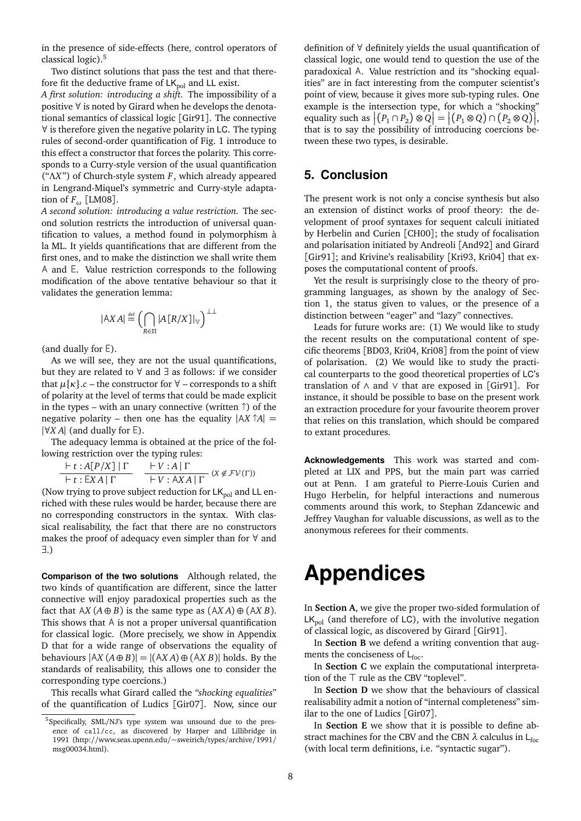in the presence of side-effects (here, control operators of classical logic).5

Two distinct solutions that pass the test and that therefore fit the deductive frame of  $LK_{pol}$  and LL exist.

*A first solution: introducing a shift.* The impossibility of a positive ∀ is noted by Girard when he develops the denotational semantics of classical logic [Gir91]. The connective ∀ is therefore given the negative polarity in LC. The typing rules of second-order quantification of Fig. 1 introduce to this effect a constructor that forces the polarity. This corresponds to a Curry-style version of the usual quantification ("Λ*X*") of Church-style system *F*, which already appeared in Lengrand-Miquel's symmetric and Curry-style adaptation of *F<sup>ω</sup>* [LM08].

*A second solution: introducing a value restriction.* The second solution restricts the introduction of universal quantification to values, a method found in polymorphism à la ML. It yields quantifications that are different from the first ones, and to make the distinction we shall write them A and E. Value restriction corresponds to the following modification of the above tentative behaviour so that it validates the generation lemma:

$$
|AX A| \stackrel{\text{def}}{=} \left( \bigcap_{R \in \Pi} |A[R/X]|_{\mathbb{V}} \right)^{\perp \perp}
$$

(and dually for ∃ ).

As we will see, they are not the usual quantifications, but they are related to ∀ and ∃ as follows: if we consider that  $\mu\{\kappa\}$ .*c* – the constructor for  $\forall$  – corresponds to a shift of polarity at the level of terms that could be made explicit in the types – with an unary connective (written  $\uparrow$ ) of the negative polarity – then one has the equality  $|AX \uparrow A|$  = |∀*X A*| (and dually for <sup>∃</sup> ).

The adequacy lemma is obtained at the price of the following restriction over the typing rules:

 $\vdash t : A[P/X] | Γ$ ` *t* : ∃ *X A* | Γ  $V : A | \Gamma$  $\frac{V \cdot A \cdot P}{V \cdot A X A \cdot \Gamma}$  ( $X \notin FV(\Gamma)$ )

(Now trying to prove subject reduction for  $LK_{pol}$  and LL enriched with these rules would be harder, because there are no corresponding constructors in the syntax. With classical realisability, the fact that there are no constructors makes the proof of adequacy even simpler than for ∀ and ∃.)

**Comparison of the two solutions** Although related, the two kinds of quantification are different, since the latter connective will enjoy paradoxical properties such as the fact that  $AX (A \oplus B)$  is the same type as  $(AX A) \oplus (AX B)$ . This shows that A is not a proper universal quantification for classical logic. (More precisely, we show in Appendix D that for a wide range of observations the equality of behaviours  $|AX(A \oplus B)| = |(AX A) \oplus (AX B)|$  holds. By the standards of realisability, this allows one to consider the corresponding type coercions.)

This recalls what Girard called the *"shocking equalities*" of the quantification of Ludics [Gir07]. Now, since our definition of ∀ definitely yields the usual quantification of classical logic, one would tend to question the use of the paradoxical A. Value restriction and its "shocking equalities" are in fact interesting from the computer scientist's point of view, because it gives more sub-typing rules. One example is the intersection type, for which a "shocking" equality such as  $|(P_1 \cap P_2) \otimes Q| = |(P_1 \otimes Q) \cap (P_2 \otimes Q)|$ , that is to say the possibility of introducing coercions between these two types, is desirable.

# **5. Conclusion**

The present work is not only a concise synthesis but also an extension of distinct works of proof theory: the development of proof syntaxes for sequent calculi initiated by Herbelin and Curien [CH00]; the study of focalisation and polarisation initiated by Andreoli [And92] and Girard [Gir91]; and Krivine's realisability [Kri93, Kri04] that exposes the computational content of proofs.

Yet the result is surprisingly close to the theory of programming languages, as shown by the analogy of Section 1, the status given to values, or the presence of a distinction between "eager" and "lazy" connectives.

Leads for future works are: (1) We would like to study the recent results on the computational content of specific theorems [BD03, Kri04, Kri08] from the point of view of polarisation. (2) We would like to study the practical counterparts to the good theoretical properties of LC's translation of ∧ and ∨ that are exposed in [Gir91]. For instance, it should be possible to base on the present work an extraction procedure for your favourite theorem prover that relies on this translation, which should be compared to extant procedures.

**Acknowledgements** This work was started and completed at LIX and PPS, but the main part was carried out at Penn. I am grateful to Pierre-Louis Curien and Hugo Herbelin, for helpful interactions and numerous comments around this work, to Stephan Zdancewic and Jeffrey Vaughan for valuable discussions, as well as to the anonymous referees for their comments.

# **Appendices**

In **Section A**, we give the proper two-sided formulation of  $LK_{\text{pol}}$  (and therefore of LC), with the involutive negation of classical logic, as discovered by Girard [Gir91].

In **Section B** we defend a writing convention that augments the conciseness of  $L_{\text{foc}}$ .

In **Section C** we explain the computational interpretation of the  $\top$  rule as the CBV "toplevel".

In **Section D** we show that the behaviours of classical realisability admit a notion of "internal completeness" similar to the one of Ludics [Gir07].

In **Section E** we show that it is possible to define abstract machines for the CBV and the CBN  $\lambda$  calculus in L<sub>foc</sub> (with local term definitions, i.e. "syntactic sugar").

<sup>5</sup>Specifically, SML/NJ's type system was unsound due to the presence of call/cc, as discovered by Harper and Lillibridge in 1991 (http://www.seas.upenn.edu/~sweirich/types/archive/1991/ msg00034.html).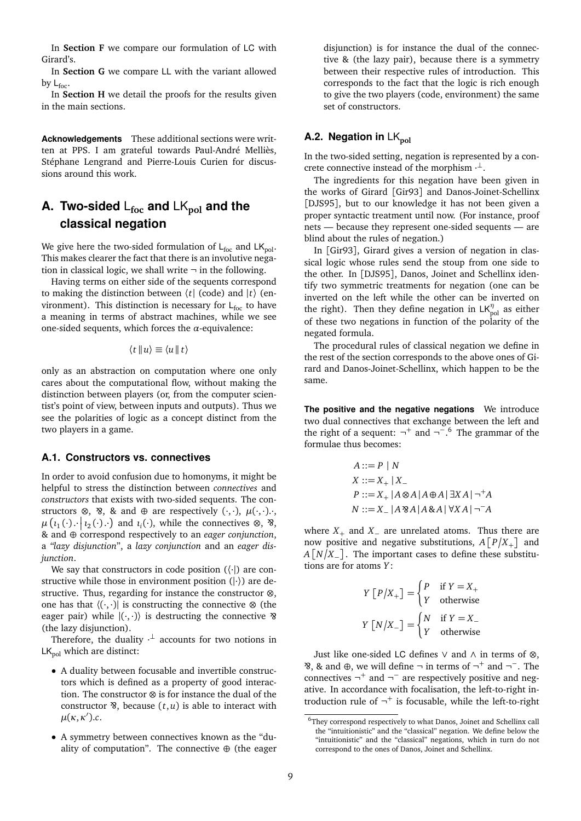In **Section F** we compare our formulation of LC with Girard's.

In **Section G** we compare LL with the variant allowed by  $L_{\text{foc}}$ .

In **Section H** we detail the proofs for the results given in the main sections.

**Acknowledgements** These additional sections were written at PPS. I am grateful towards Paul-André Melliès, Stéphane Lengrand and Pierre-Louis Curien for discussions around this work.

# **A. Two-sided** L**foc and** LK**pol and the classical negation**

We give here the two-sided formulation of  $L_{\text{foc}}$  and  $LK_{\text{pol}}$ . This makes clearer the fact that there is an involutive negation in classical logic, we shall write  $\neg$  in the following.

Having terms on either side of the sequents correspond to making the distinction between  $\langle t |$  (code) and  $|t \rangle$  (environment). This distinction is necessary for  $L_{\text{foc}}$  to have a meaning in terms of abstract machines, while we see one-sided sequents, which forces the *α*-equivalence:

$$
\langle t | u \rangle \equiv \langle u | t \rangle
$$

only as an abstraction on computation where one only cares about the computational flow, without making the distinction between players (or, from the computer scientist's point of view, between inputs and outputs). Thus we see the polarities of logic as a concept distinct from the two players in a game.

#### **A.1. Constructors vs. connectives**

In order to avoid confusion due to homonyms, it might be helpful to stress the distinction between *connectives* and *constructors* that exists with two-sided sequents. The constructors ⊗, ⊗, & and ⊕ are respectively  $( \cdot, \cdot)$ ,  $\mu( \cdot, \cdot)$ .  $\mu\left(\iota_1(\cdot)\right) \mid \iota_2(\cdot)\right)$  and  $\iota_i(\cdot)$ , while the connectives ⊗, §, & and ⊕ correspond respectively to an *eager conjunction*, a *"lazy disjunction*", a *lazy conjunction* and an *eager disjunction*.

We say that constructors in code position  $(\langle \cdot |)$  are constructive while those in environment position  $(| \cdot \rangle)$  are destructive. Thus, regarding for instance the constructor ⊗, one has that  $\langle \cdot, \cdot \rangle$  is constructing the connective ⊗ (the eager pair) while  $|(\cdot,\cdot)\rangle$  is destructing the connective  $\delta$ (the lazy disjunction).

Therefore, the duality  $\cdot^{\perp}$  accounts for two notions in  $LK_{pol}$  which are distinct:

- A duality between focusable and invertible constructors which is defined as a property of good interaction. The constructor ⊗ is for instance the dual of the constructor  $\mathcal{B}$ , because  $(t, u)$  is able to interact with  $\mu(\kappa,\kappa').c$ .
- A symmetry between connectives known as the "duality of computation". The connective  $\oplus$  (the eager

disjunction) is for instance the dual of the connective & (the lazy pair), because there is a symmetry between their respective rules of introduction. This corresponds to the fact that the logic is rich enough to give the two players (code, environment) the same set of constructors.

#### **A.2. Negation in** LK<sub>pol</sub>

In the two-sided setting, negation is represented by a concrete connective instead of the morphism  $\cdot^{\perp}$ .

The ingredients for this negation have been given in the works of Girard [Gir93] and Danos-Joinet-Schellinx [DJS95], but to our knowledge it has not been given a proper syntactic treatment until now. (For instance, proof nets — because they represent one-sided sequents — are blind about the rules of negation.)

In [Gir93], Girard gives a version of negation in classical logic whose rules send the stoup from one side to the other. In [DJS95], Danos, Joinet and Schellinx identify two symmetric treatments for negation (one can be inverted on the left while the other can be inverted on the right). Then they define negation in  $LK_{pol}^{\eta}$  as either of these two negations in function of the polarity of the negated formula.

The procedural rules of classical negation we define in the rest of the section corresponds to the above ones of Girard and Danos-Joinet-Schellinx, which happen to be the same.

**The positive and the negative negations** We introduce two dual connectives that exchange between the left and the right of a sequent:  $\neg^{+}$  and  $\neg^{-}$ .<sup>6</sup> The grammar of the formulae thus becomes:

$$
A ::= P | N
$$
  
\n
$$
X ::= X_+ | X_-
$$
  
\n
$$
P ::= X_+ | A \otimes A | A \oplus A | \exists X A | \neg^+ A
$$
  
\n
$$
N ::= X_- | A \otimes A | A \otimes A | \forall X A | \neg^- A
$$

where  $X_+$  and  $X_-$  are unrelated atoms. Thus there are now positive and negative substitutions,  $A[P/X_+]$  and  $A[N/X_$ |. The important cases to define these substitutions are for atoms *Y* :

$$
Y [P/X_{+}] = \begin{cases} P & \text{if } Y = X_{+} \\ Y & \text{otherwise} \end{cases}
$$

$$
Y [N/X_{-}] = \begin{cases} N & \text{if } Y = X_{-} \\ Y & \text{otherwise} \end{cases}
$$

Just like one-sided LC defines ∨ and ∧ in terms of ⊗,  $\mathcal{B}, \mathcal{B}, \mathcal{C}$  and  $\oplus$ , we will define  $\neg$  in terms of  $\neg^+$  and  $\neg^-$ . The connectives  $\neg$ <sup>+</sup> and  $\neg$ <sup>−</sup> are respectively positive and negative. In accordance with focalisation, the left-to-right introduction rule of  $\neg^+$  is focusable, while the left-to-right

 $^6\!$  They correspond respectively to what Danos, Joinet and Schellinx call the "intuitionistic" and the "classical" negation. We define below the "intuitionistic" and the "classical" negations, which in turn do not correspond to the ones of Danos, Joinet and Schellinx.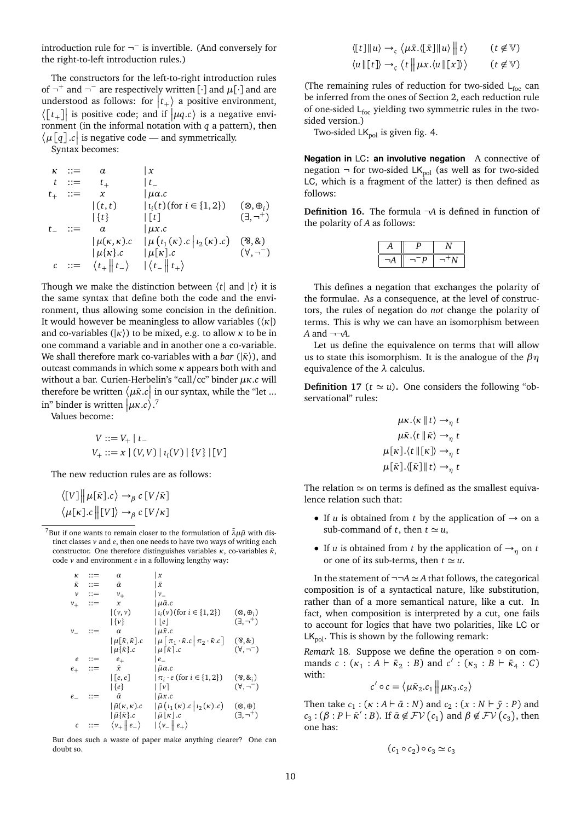introduction rule for  $\neg^{-}$  is invertible. (And conversely for the right-to-left introduction rules.)

The constructors for the left-to-right introduction rules of  $\neg^+$  and  $\neg^-$  are respectively written [ $\cdot$ ] and  $\mu[\cdot]$  and are understood as follows: for  $|t_+\rangle$  a positive environment,  $\langle [t_+]$  is positive code; and if  $|\mu q.c\rangle$  is a negative environment (in the informal notation with *q* a pattern), then  $\langle \mu\big[\mathfrak{q}\big]$ .*c* is negative code — and symmetrically.

Syntax becomes:

$$
\kappa ::= \alpha \qquad | x
$$
\n
$$
t ::= t_{+} \qquad | t_{-}
$$
\n
$$
t_{+} ::= x \qquad | \mu a.c
$$
\n
$$
| (t, t) \qquad | t_{i}(t) ( \text{for } i \in \{1, 2\}) \qquad (\otimes, \oplus_{i})
$$
\n
$$
| \{t\} \qquad | [t] \qquad (\exists, \neg^{+})
$$
\n
$$
t_{-} ::= \alpha \qquad | \mu x.c
$$
\n
$$
| \mu(x, \kappa).c \qquad | \mu(t_{1}(x).c | t_{2}(x).c) \qquad (\otimes, \text{&})
$$
\n
$$
| \mu \{k\} .c \qquad | \mu[k].c \qquad (\forall, \neg^{-})
$$
\n
$$
c ::= \langle t_{+} || t_{-} \rangle \qquad | \langle t_{-} || t_{+} \rangle
$$

Though we make the distinction between  $\langle t |$  and  $|t \rangle$  it is the same syntax that define both the code and the environment, thus allowing some concision in the definition. It would however be meaningless to allow variables (〈*κ*|) and co-variables ( $|\kappa\rangle$ ) to be mixed, e.g. to allow  $\kappa$  to be in one command a variable and in another one a co-variable. We shall therefore mark co-variables with a *bar* ( $|\bar{\kappa}\rangle$ ), and outcast commands in which some *κ* appears both with and without a bar. Curien-Herbelin's "call/cc" binder *µκ*.*c* will therefore be written  $\langle \mu \bar{\kappa}. c \vert$  in our syntax, while the "let ... in" binder is written  $|\mu \kappa.c \rangle$ .<sup>7</sup>

Values become:

$$
V ::= V_+ | t_-
$$
  
 
$$
V_+ ::= x | (V, V) | i_i(V) | {V} | [V]
$$

The new reduction rules are as follows:

$$
\langle [V] \middle\| \mu[\bar{\kappa}].c \rangle \rightarrow_{\beta} c [V/\bar{\kappa}]
$$

$$
\langle \mu[\kappa].c \parallel [V] \rangle \rightarrow_{\beta} c [V/\kappa]
$$

<sup>7</sup>But if one wants to remain closer to the formulation of  $\bar{\lambda} \mu \tilde{\mu}$  with distinct classes *v* and *e*, then one needs to have two ways of writing each constructor. One therefore distinguishes variables *κ*, co-variables *κ*<sup>*τ*</sup>, code *v* and environment *e* in a following lengthy way:

$$
\kappa ::= \alpha \quad | x
$$
\n
$$
\bar{\kappa} ::= \bar{\alpha} \quad | \bar{x}
$$
\n
$$
\nu := \nu_{+} \quad |\nu_{-}
$$
\n
$$
\nu_{+} ::= \chi \quad |\mu\bar{\alpha}.\mathbf{c}
$$
\n
$$
|\{\nu\} \quad |\{\nu\} \quad |\{\nu\}(\text{for } i \in \{1, 2\}) \quad (\otimes, \theta_{i})
$$
\n
$$
\mathbf{c} ::= \alpha \quad |\mu\bar{\kappa}, \bar{\kappa}].\n\mathbf{c} = \mu_{+} \quad |\mu_{-} \cdot \bar{\kappa}.\mathbf{c} \quad |\pi_{+} \cdot \bar{\kappa}.\mathbf{c}| \quad (\mathbf{a}, \mathbf{a})
$$
\n
$$
\mathbf{c} ::= \begin{array}{c} \mu_{-}(\bar{\kappa}, \bar{\kappa}) \cdot \mathbf{c} & \mu_{-}(\bar{\kappa}) \cdot \mathbf{c} \\ \mu_{+}(\bar{\kappa}, \bar{\kappa}) \cdot \mathbf{c} & \mu_{-}(\bar{\kappa}) \cdot \mathbf{c} \\ \mu_{+}(\bar{\kappa}) \cdot \mathbf{c} & \mu_{-}(\bar{\kappa}) \cdot \mathbf{c} \\ \mu_{+}(\bar{\kappa}) \cdot \mathbf{c} & \mu_{-}(\bar{\kappa}) \cdot \mathbf{c} \\ \mu_{+}(\bar{\kappa}) \cdot \mathbf{c} & \mu_{-}(\bar{\kappa}) \cdot \mathbf{c} \\ \mu_{+}(\bar{\kappa}, \bar{\kappa}) \cdot \mathbf{c} & \mu_{-}(\bar{\kappa}) \cdot \mathbf{c} \\ \mu_{+}(\bar{\kappa}, \bar{\kappa}) \cdot \mathbf{c} & \mu_{-}(\bar{\kappa}) \cdot \mathbf{c} \\ \mu_{+}(\bar{\kappa}) \cdot \mathbf{c} & \mu_{-}(\bar{\kappa}) \cdot \mathbf{c} \\ \mu_{+}(\bar{\kappa}) \cdot \mathbf{c} & \mu_{-}(\bar{\kappa}) \cdot \mathbf{c} \\ \mu_{+}(\bar{\kappa}) \cdot \mathbf{c} & \mu_{-}(\bar{\kappa}) \cdot \mathbf{c} \\ \mu_{-}(\bar{\kappa}) \cdot \mathbf{c} & \mu_{-}(\bar{\kappa}) \cdot \mathbf{c}
$$

But does such a waste of paper make anything clearer? One can doubt so.

$$
\langle [t] \| u \rangle \rightarrow_{\varsigma} \langle \mu \bar{x}. ([\bar{x}] \| u \rangle) \| t \rangle \qquad (t \notin \mathbb{V})
$$

 $\langle u \Vert [t] \rangle \rightarrow_{\varsigma} \langle t \Vert \mu x. \langle u \Vert [x] \rangle \rangle$  $(t \notin \mathbb{V})$ 

(The remaining rules of reduction for two-sided  $L_{\text{foc}}$  can be inferred from the ones of Section 2, each reduction rule of one-sided  $\mathsf{L}_{\mathsf{foc}}$  yielding two symmetric rules in the twosided version.)

Two-sided  $LK_{pol}$  is given fig. 4.

**Negation in** LC**: an involutive negation** A connective of negation  $\neg$  for two-sided LK<sub>pol</sub> (as well as for two-sided LC, which is a fragment of the latter) is then defined as follows:

**Definition 16.** The formula ¬*A* is defined in function of the polarity of *A* as follows:

This defines a negation that exchanges the polarity of the formulae. As a consequence, at the level of constructors, the rules of negation do *not* change the polarity of terms. This is why we can have an isomorphism between  $A$  and  $\neg\neg A$ .

Let us define the equivalence on terms that will allow us to state this isomorphism. It is the analogue of the *βη* equivalence of the *λ* calculus.

**Definition 17** ( $t \approx u$ ). One considers the following "observational" rules:

$$
\mu\kappa.\langle\kappa||t\rangle \rightarrow_{\eta} t
$$

$$
\mu\bar{\kappa}.\langle t||\bar{\kappa}\rangle \rightarrow_{\eta} t
$$

$$
\mu[\kappa].\langle t||[\kappa]\rangle \rightarrow_{\eta} t
$$

$$
\mu[\bar{\kappa}].\langle [\bar{\kappa}]||t\rangle \rightarrow_{\eta} t
$$

The relation  $\simeq$  on terms is defined as the smallest equivalence relation such that:

- If *u* is obtained from *t* by the application of  $\rightarrow$  on a sub-command of *t*, then  $t \approx u$ ,
- If *u* is obtained from *t* by the application of  $\rightarrow$ <sub>*n*</sub> on *t* or one of its sub-terms, then  $t \simeq u$ .

In the statement of  $\neg\neg A \simeq A$  that follows, the categorical composition is of a syntactical nature, like substitution, rather than of a more semantical nature, like a cut. In fact, when composition is interpreted by a cut, one fails to account for logics that have two polarities, like LC or  $LK_{\text{pol}}$ . This is shown by the following remark:

*Remark* 18*.* Suppose we define the operation ◦ on commands *c* : ( $\kappa_1 : A \vdash \bar{\kappa}_2 : B$ ) and *c'* : ( $\kappa_3 : B \vdash \bar{\kappa}_4 : C$ ) with:

$$
c' \circ c = \langle \mu \bar{\kappa}_2.c_1 \mid \mu \kappa_3.c_2 \rangle
$$

Then take  $c_1$  :  $(\kappa : A \vdash \bar{\alpha} : N)$  and  $c_2 : (\kappa : N \vdash \bar{y} : P)$  and  $c_3: (\beta : P \vdash \bar{\kappa}' : B)$ . If  $\bar{\alpha} \notin FV(c_1)$  and  $\beta \notin FV(c_3)$ , then one has:

$$
(c_1 \circ c_2) \circ c_3 \simeq c_3
$$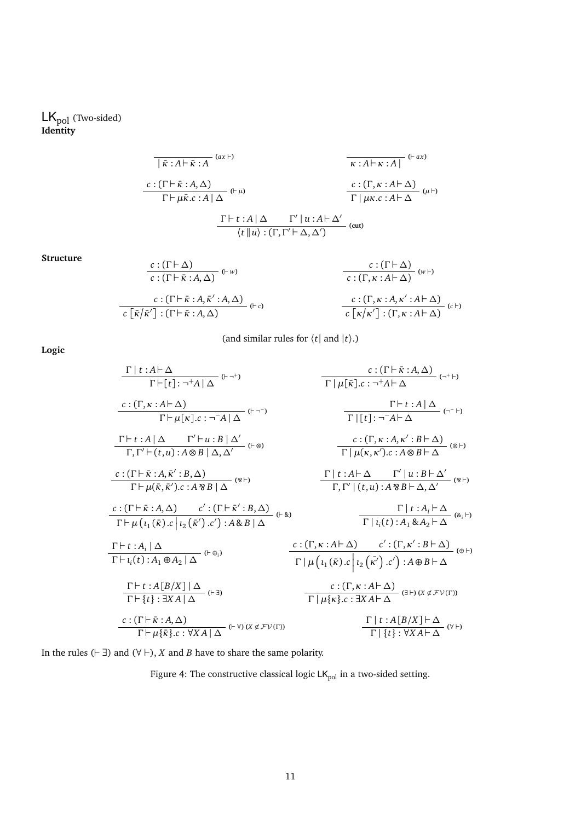### $LK_{pol}$  (Two-sided) **Identity**

$$
\frac{\overline{\kappa : A \vdash \kappa : A}^{(\alpha x \vdash)} \qquad \qquad \overline{\kappa : A \vdash \kappa : A]}^{(\alpha x \vdash)} \qquad \qquad \overline{\kappa : A \vdash \kappa : A}^{(\alpha x \vdash)} \qquad \qquad \overline{\kappa : A \vdash \kappa : A}^{(\alpha x \vdash \alpha)} \qquad \qquad \overline{\kappa : (\Gamma, \kappa : A \vdash \Delta)}^{(\alpha x \vdash \alpha)} \qquad \qquad \overline{\kappa \vdash \mu \kappa . c : A \vdash \Delta}^{(\alpha x \vdash \alpha)} \qquad \qquad \overline{\kappa \vdash \mu \kappa . c : A \vdash \Delta}^{(\alpha x \vdash \alpha)} \qquad \qquad \overline{\kappa \vdash \mu \kappa . c : A \vdash \Delta}^{(\alpha x \vdash \alpha)} \qquad \qquad \overline{\kappa \vdash \mu \kappa . c : A \vdash \Delta}^{(\alpha x \vdash \alpha)} \qquad \qquad \overline{\kappa \vdash \mu \kappa . c : A \vdash \Delta}^{(\alpha x \vdash \alpha)} \qquad \qquad \overline{\kappa \vdash \mu \kappa . c : A \vdash \Delta}^{(\alpha x \vdash \alpha)} \qquad \qquad \overline{\kappa \vdash \mu \kappa . c : A \vdash \Delta}^{(\alpha x \vdash \alpha)} \qquad \qquad \overline{\kappa \vdash \mu \kappa . c : A \vdash \Delta}^{(\alpha x \vdash \alpha)} \qquad \qquad \overline{\kappa \vdash \mu \kappa . c : A \vdash \Delta}^{(\alpha x \vdash \alpha)} \qquad \qquad \overline{\kappa \vdash \mu \kappa . c : A \vdash \Delta}^{(\alpha x \vdash \alpha)} \qquad \qquad \overline{\kappa \vdash \mu \kappa . c : A \vdash \Delta}^{(\alpha x \vdash \alpha)} \qquad \qquad \overline{\kappa \vdash \mu \kappa . c : A \vdash \Delta}^{(\alpha x \vdash \alpha)} \qquad \qquad \overline{\kappa \vdash \mu \kappa . c : A \vdash \Delta}^{(\alpha x \vdash \alpha)} \qquad \qquad \overline{\kappa \vdash \mu \kappa . c : A \vdash \Delta}^{(\alpha x \vdash \alpha)} \qquad \qquad \overline{\kappa \vdash \mu \kappa . c : A \vdash \Delta}^{(\alpha x \vdash \alpha)} \
$$

**Structure**

$$
\frac{c:(\Gamma\vdash\Delta)}{c:(\Gamma\vdash\bar{\kappa}:A,\Delta)}\xrightarrow{(+w)} \frac{c:(\Gamma\vdash\Delta)}{c:(\Gamma,\kappa:A\vdash\Delta)}\xrightarrow{(w\vdash)}
$$
\n
$$
\frac{c:(\Gamma\vdash\bar{\kappa}:A,\bar{\kappa}':A,\Delta)}{c\left[\bar{\kappa}/\bar{\kappa}'\right]:(\Gamma\vdash\bar{\kappa}:A,\Delta)}\xrightarrow{(+c)} \frac{c:(\Gamma,\kappa:A,\kappa':A\vdash\Delta)}{c\left[\kappa/\kappa'\right]:(\Gamma,\kappa:A\vdash\Delta)}\xrightarrow{(c\vdash)}
$$

(and similar rules for  $\langle t |$  and  $|t \rangle$ .)

**Logic**

$$
\frac{\Gamma | t:A\vdash\Delta}{\Gamma | \mu[\bar{\kappa}],c:\neg^{+}A|\Delta} (t\rightarrow t)
$$
\n
$$
\frac{c:(\Gamma \vdash \bar{\kappa}:A,\Delta)}{\Gamma | \mu[\bar{\kappa}],c:\neg^{+}A\vdash\Delta} (t\rightarrow t)
$$
\n
$$
\frac{\Gamma | t:A|\Delta}{\Gamma | \mu[\bar{\kappa}],c:\neg^{-}A|\Delta} (t\rightarrow t)
$$
\n
$$
\frac{\Gamma | t:A|\Delta}{\Gamma, \Gamma' | (t,u):A\otimes B|\Delta,\Delta'} (t\rightarrow s)
$$
\n
$$
\frac{c:(\Gamma \vdash \bar{\kappa}:A,\bar{\kappa}':B,\Delta)}{\Gamma | \mu(\bar{\kappa},\bar{\kappa}'):C:A\otimes B|\Delta,\Delta'} (t\rightarrow s)
$$
\n
$$
\frac{c:(\Gamma \vdash \bar{\kappa}:A,\bar{\kappa}':B,\Delta)}{\Gamma | \mu(\bar{\kappa},\bar{\kappa}'):C:A\otimes B|\Delta} (s\rightarrow t)
$$
\n
$$
\frac{c:(\Gamma \vdash \bar{\kappa}:A,\Delta) \quad c':(\Gamma \vdash \bar{\kappa}':B,\Delta)}{\Gamma | \mu(\bar{\kappa},\bar{\kappa}':c:A\otimes B)} (t\rightarrow s)}
$$
\n
$$
\frac{\Gamma | t:A\vdash\Delta \quad \Gamma' | u:B\vdash\Delta'}{\Gamma | \mu(t):A_1\otimes B\vdash\Delta,\Delta'} (s\rightarrow t)
$$
\n
$$
\frac{\Gamma | t:A\vdash\Delta \quad \Gamma' | u:B\vdash\Delta'}{\Gamma | \mu(t):A_1\otimes B\vdash\Delta} (s\rightarrow t)
$$
\n
$$
\frac{\Gamma | t:A\vdash\Delta}{\Gamma | \mu(t):A_1\otimes A_2|\Delta} (t\rightarrow s)
$$
\n
$$
\frac{c:(\Gamma,\kappa:A\vdash\Delta) \quad c':(\Gamma,\kappa':B\vdash\Delta)}{\Gamma | \mu(t:(\bar{\kappa}):c'|) :A\oplus B\vdash\Delta} (s\rightarrow t)
$$
\n
$$
\frac{\Gamma | t:A[B/X]|\Delta}{\Gamma | \mu(\kappa):c:\exists XA\vdash\Delta} (t\rightarrow t)
$$
\n
$$
\frac{c:(\Gamma \vdash \bar{\kappa}:A,\Delta)}{\Gamma | \mu(\bar{\kappa}:c:\exists XA\vdash\Delta} (t\rightarrow t)
$$
\n<math display="</math>

In the rules ( $\vdash$  ∃) and ( $\forall$   $\vdash$ ), *X* and *B* have to share the same polarity.

Figure 4: The constructive classical logic  $\mathsf{LK_{pol}}$  in a two-sided setting.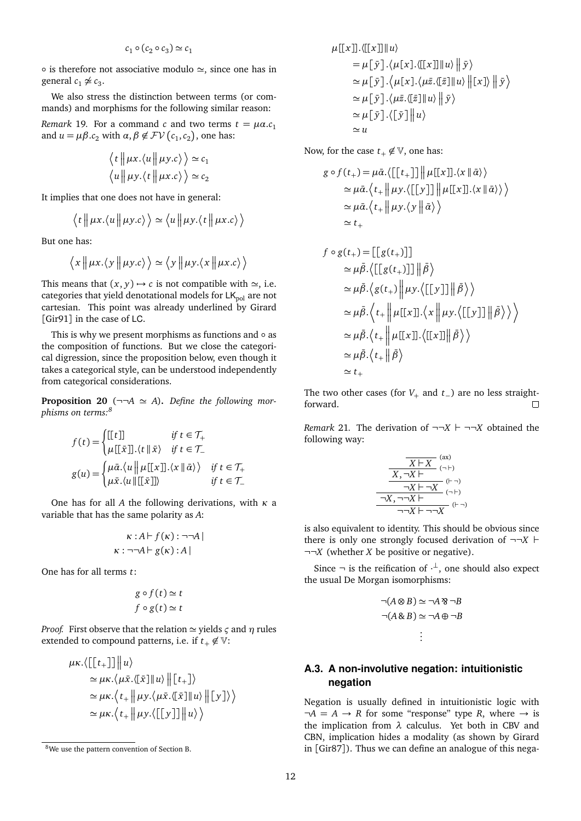$$
c_1 \circ (c_2 \circ c_3) \simeq c_1
$$

 $\circ$  is therefore not associative modulo  $\simeq$ , since one has in general  $c_1 \not\approx c_3$ .

We also stress the distinction between terms (or commands) and morphisms for the following similar reason:

*Remark* 19*.* For a command *c* and two terms  $t = \mu \alpha \cdot c_1$ and  $u = \mu \beta c_2$  with  $\alpha, \beta \notin FV(c_1, c_2)$ , one has:

$$
\langle t \parallel \mu x. \langle u \parallel \mu y. c \rangle \rangle \simeq c_1
$$
  

$$
\langle u \parallel \mu y. \langle t \parallel \mu x. c \rangle \rangle \simeq c_2
$$

It implies that one does not have in general:

$$
\langle t \parallel \mu x. \langle u \parallel \mu y.c \rangle \rangle \simeq \langle u \parallel \mu y. \langle t \parallel \mu x.c \rangle \rangle
$$

But one has:

$$
\langle x \parallel \mu x. \langle y \parallel \mu y. c \rangle \rangle \simeq \langle y \parallel \mu y. \langle x \parallel \mu x. c \rangle \rangle
$$

This means that  $(x, y) \rightarrow c$  is not compatible with  $\approx$ , i.e. categories that yield denotational models for  $LK_{pol}$  are not cartesian. This point was already underlined by Girard [Gir91] in the case of LC.

This is why we present morphisms as functions and ◦ as the composition of functions. But we close the categorical digression, since the proposition below, even though it takes a categorical style, can be understood independently from categorical considerations.

**Proposition 20** ( $\neg\neg A \simeq A$ ). Define the following mor*phisms on terms:8*

$$
f(t) = \begin{cases} [[t]] & \text{if } t \in \mathcal{T}_+ \\ \mu [[\bar{x}]] . \langle t || \bar{x} \rangle & \text{if } t \in \mathcal{T}_- \end{cases}
$$

$$
g(u) = \begin{cases} \mu \bar{\alpha} . \langle u || \mu [[x]] . \langle x || \bar{\alpha} \rangle \rangle & \text{if } t \in \mathcal{T}_+ \\ \mu \bar{x} . \langle u || [[\bar{x}]] \rangle & \text{if } t \in \mathcal{T}_- \end{cases}
$$

One has for all *A* the following derivations, with *κ* a variable that has the same polarity as *A*:

$$
\kappa : A \vdash f(\kappa) : \neg\neg A |
$$

$$
\kappa : \neg\neg A \vdash g(\kappa) : A |
$$

One has for all terms *t*:

$$
g \circ f(t) \simeq t
$$
  

$$
f \circ g(t) \simeq t
$$

*Proof.* First observe that the relation  $\simeq$  yields  $\varsigma$  and  $\eta$  rules extended to compound patterns, i.e. if  $t_+ \notin \mathbb{V}$ :

$$
\mu \kappa \cdot \langle [[t_{+}]] || u \rangle
$$
  
\n
$$
\simeq \mu \kappa \cdot \langle \mu \bar{x} . \langle [\bar{x}] || u \rangle || [t_{+}]\rangle
$$
  
\n
$$
\simeq \mu \kappa \cdot \langle t_{+} || \mu y . \langle \mu \bar{x} . \langle [\bar{x}] || u \rangle || [y] \rangle \rangle
$$
  
\n
$$
\simeq \mu \kappa \cdot \langle t_{+} || \mu y . \langle [[y]] || u \rangle \rangle
$$

$$
\mu[[x]].\langle [[x]] || u \rangle
$$
  
\n
$$
= \mu[\bar{y}].\langle \mu[x].\langle [[x]] || u \rangle || \bar{y} \rangle
$$
  
\n
$$
\simeq \mu[\bar{y}].\langle \mu[x].\langle \mu\bar{z}. \langle [\bar{z}]] || u \rangle || [x] \rangle || \bar{y} \rangle
$$
  
\n
$$
\simeq \mu[\bar{y}].\langle \mu\bar{z}. \langle [\bar{z}]] || u \rangle || \bar{y} \rangle
$$
  
\n
$$
\simeq \mu[\bar{y}].\langle [\bar{y}]] || u \rangle
$$
  
\n
$$
\simeq u
$$

Now, for the case  $t_+ \notin \mathbb{V}$ , one has:

$$
g \circ f(t_{+}) = \mu \bar{\alpha} \cdot \langle [[t_{+}]] || \mu [[x]]. \langle x || \bar{\alpha} \rangle \rangle
$$
  
\n
$$
\simeq \mu \bar{\alpha} \cdot \langle t_{+} || \mu y \cdot \langle [[y]] || \mu [[x]]. \langle x || \bar{\alpha} \rangle \rangle \rangle
$$
  
\n
$$
\simeq \mu \bar{\alpha} \cdot \langle t_{+} || \mu y \cdot \langle y || \bar{\alpha} \rangle \rangle
$$
  
\n
$$
\simeq t_{+}
$$
  
\n
$$
f \circ g(t_{+}) = [[g(t_{+})]]
$$
  
\n
$$
\simeq \mu \bar{\beta} \cdot \langle [[g(t_{+})]] || \bar{\beta} \rangle
$$
  
\n
$$
\simeq \mu \bar{\beta} \cdot \langle g(t_{+}) || \mu y \cdot \langle [[y]] || \bar{\beta} \rangle \rangle
$$
  
\n
$$
\simeq \mu \bar{\beta} \cdot \langle t_{+} || \mu [[x]]. \langle x || \mu y \cdot \langle [[y]] || \bar{\beta} \rangle \rangle \rangle
$$

$$
\simeq \mu \bar{\beta} \cdot \langle t_{+} \left\| \mu[[x]] \cdot \langle [[x]] \right\| \bar{\beta} \rangle
$$
  
\simeq \mu \bar{\beta} \cdot \langle t\_{+} \left\| \bar{\beta} \right\rangle  
\simeq t\_{+}

The two other cases (for *V*<sub>+</sub> and *t*<sub>−</sub>) are no less straightforward.  $\Box$ 

*Remark* 21. The derivation of  $\neg\neg X \vdash \neg\neg X$  obtained the following way:

$$
\frac{\overline{X \vdash X}^{(\text{ax})}}{X, \neg X \vdash^{(\neg+)}}
$$
\n
$$
\frac{\neg X \vdash \neg X}{\neg X \vdash \neg X}^{(\neg+)}
$$
\n
$$
\frac{\neg X, \neg \neg X \vdash^{(\neg+)}}{\neg X \vdash \neg \neg X}^{(\neg+)}
$$

is also equivalent to identity. This should be obvious since there is only one strongly focused derivation of  $\neg\neg X \vdash$ ¬¬*X* (whether *X* be positive or negative).

Since  $\neg$  is the reification of  $\neg$ , one should also expect the usual De Morgan isomorphisms:

$$
\neg(A \otimes B) \simeq \neg A \otimes \neg B
$$
  

$$
\neg(A \otimes B) \simeq \neg A \oplus \neg B
$$
  

$$
\vdots
$$

#### **A.3. A non-involutive negation: intuitionistic negation**

Negation is usually defined in intuitionistic logic with  $\neg A = A \rightarrow R$  for some "response" type R, where  $\rightarrow$  is the implication from *λ* calculus. Yet both in CBV and CBN, implication hides a modality (as shown by Girard in [Gir87]). Thus we can define an analogue of this nega-

<sup>8</sup>We use the pattern convention of Section B.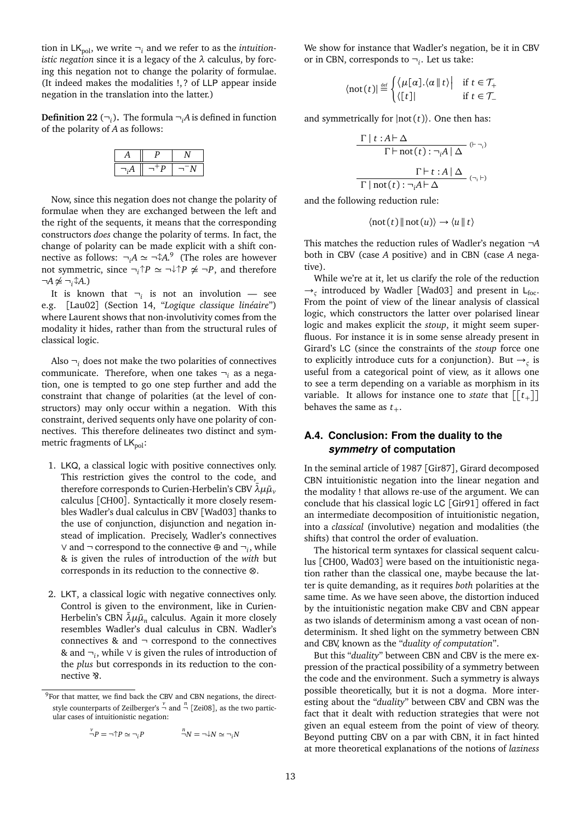tion in  $LK_{pol}$ , we write  $\neg$ <sub>*i*</sub> and we refer to as the *intuitionistic negation* since it is a legacy of the *λ* calculus, by forcing this negation not to change the polarity of formulae. (It indeed makes the modalities !, ? of LLP appear inside negation in the translation into the latter.)

**Definition 22**  $(\neg_i)$ . The formula  $\neg_i A$  is defined in function of the polarity of *A* as follows:

Now, since this negation does not change the polarity of formulae when they are exchanged between the left and the right of the sequents, it means that the corresponding constructors *does* change the polarity of terms. In fact, the change of polarity can be made explicit with a shift connective as follows:  $\neg_i A \simeq \neg \uparrow A$ .<sup>9</sup> (The roles are however not symmetric, since  $\neg_i \uparrow P \simeq \neg \downarrow \uparrow P \not\cong \neg P$ , and therefore  $\neg A \not\simeq \neg_i \hat{\downarrow} A.$ 

It is known that  $\neg_i$  is not an involution — see e.g. [Lau02] (Section 14, "*Logique classique linéaire*") where Laurent shows that non-involutivity comes from the modality it hides, rather than from the structural rules of classical logic.

Also  $\neg_i$  does not make the two polarities of connectives communicate. Therefore, when one takes ¬*<sup>i</sup>* as a negation, one is tempted to go one step further and add the constraint that change of polarities (at the level of constructors) may only occur within a negation. With this constraint, derived sequents only have one polarity of connectives. This therefore delineates two distinct and symmetric fragments of  $LK_{pol}$ :

- 1. LKQ, a classical logic with positive connectives only. This restriction gives the control to the code, and therefore corresponds to Curien-Herbelin's CBV  $\bar{\lambda}\mu\tilde{\mu}$ <sup>*v*</sup> calculus [CH00]. Syntactically it more closely resembles Wadler's dual calculus in CBV [Wad03] thanks to the use of conjunction, disjunction and negation instead of implication. Precisely, Wadler's connectives ∨ and ¬ correspond to the connective ⊕ and ¬*<sup>i</sup>* , while & is given the rules of introduction of the *with* but corresponds in its reduction to the connective ⊗.
- 2. LKT, a classical logic with negative connectives only. Control is given to the environment, like in Curien-Herbelin's CBN  $\bar{\lambda} \mu \tilde{\mu}_n$  calculus. Again it more closely resembles Wadler's dual calculus in CBN. Wadler's connectives  $\&$  and  $\neg$  correspond to the connectives & and ¬*<sup>i</sup>* , while ∨ is given the rules of introduction of the *plus* but corresponds in its reduction to the connective & .

$$
\overset{\nu}{\neg}P = \neg \uparrow P \simeq \neg_i P \qquad \qquad \overset{n}{\neg}N = \neg \downarrow N \simeq \neg_i N
$$

We show for instance that Wadler's negation, be it in CBV or in CBN, corresponds to  $\neg_i$ . Let us take:

$$
\langle \operatorname{not}(t) | \stackrel{\scriptscriptstyle{\mathrm{def}}}{=} \begin{cases} \langle \mu[\alpha]. \langle \alpha \, || \, t \rangle & \text{if } t \in \mathcal{T}_+ \\ \langle [t] \, || & \text{if } t \in \mathcal{T}_- \end{cases}
$$

and symmetrically for  $|not(t)\rangle$ . One then has:

$$
\frac{\Gamma | t : A \vdash \Delta}{\Gamma \vdash \text{not}(t) : \neg_i A | \Delta} {}^{( \vdash \neg_i )}
$$
\n
$$
\frac{\Gamma \vdash t : A | \Delta}{\Gamma | \text{not}(t) : \neg_i A \vdash \Delta} {}^{( \neg_i \vdash )}
$$

and the following reduction rule:

$$
\langle \mathrm{not}(t) \| \mathrm{not}(u) \rangle \rightarrow \langle u \| t \rangle
$$

This matches the reduction rules of Wadler's negation ¬*A* both in CBV (case *A* positive) and in CBN (case *A* negative).

While we're at it, let us clarify the role of the reduction  $\rightarrow$ <sub>*ς*</sub> introduced by Wadler [Wad03] and present in L<sub>foc</sub>. From the point of view of the linear analysis of classical logic, which constructors the latter over polarised linear logic and makes explicit the *stoup*, it might seem superfluous. For instance it is in some sense already present in Girard's LC (since the constraints of the *stoup* force one to explicitly introduce cuts for a conjunction). But  $\rightarrow$ <sub>5</sub> is useful from a categorical point of view, as it allows one to see a term depending on a variable as morphism in its variable. It allows for instance one to *state* that  $\left[ \left[ t_{+} \right] \right]$ behaves the same as  $t_{+}$ .

### **A.4. Conclusion: From the duality to the** *symmetry* **of computation**

In the seminal article of 1987 [Gir87], Girard decomposed CBN intuitionistic negation into the linear negation and the modality ! that allows re-use of the argument. We can conclude that his classical logic LC [Gir91] offered in fact an intermediate decomposition of intuitionistic negation, into a *classical* (involutive) negation and modalities (the shifts) that control the order of evaluation.

The historical term syntaxes for classical sequent calculus [CH00, Wad03] were based on the intuitionistic negation rather than the classical one, maybe because the latter is quite demanding, as it requires *both* polarities at the same time. As we have seen above, the distortion induced by the intuitionistic negation make CBV and CBN appear as two islands of determinism among a vast ocean of nondeterminism. It shed light on the symmetry between CBN and CBV, known as the "*duality of computation*".

But this "*duality*" between CBN and CBV is the mere expression of the practical possibility of a symmetry between the code and the environment. Such a symmetry is always possible theoretically, but it is not a dogma. More interesting about the "*duality*" between CBV and CBN was the fact that it dealt with reduction strategies that were not given an equal esteem from the point of view of theory. Beyond putting CBV on a par with CBN, it in fact hinted at more theoretical explanations of the notions of *laziness*

<sup>&</sup>lt;sup>9</sup>For that matter, we find back the CBV and CBN negations, the directstyle counterparts of Zeilberger's  $\frac{v}{\neg}$  and  $\frac{n}{\neg}$  [Zei08], as the two particular cases of intuitionistic negation: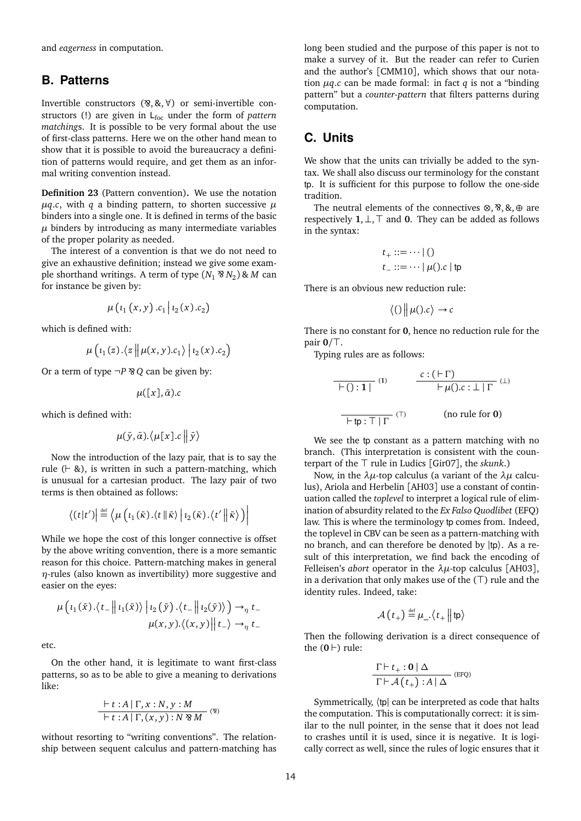and *eagerness* in computation.

## **B. Patterns**

Invertible constructors  $($ <sup>8</sup>, &,  $\forall$ ) or semi-invertible constructors (!) are given in L<sub>foc</sub> under the form of *pattern matching*s. It is possible to be very formal about the use of first-class patterns. Here we on the other hand mean to show that it is possible to avoid the bureaucracy a definition of patterns would require, and get them as an informal writing convention instead.

**Definition 23** (Pattern convention)**.** We use the notation  $\mu$ *q.c*, with *q* a binding pattern, to shorten successive  $\mu$ binders into a single one. It is defined in terms of the basic  $\mu$  binders by introducing as many intermediate variables of the proper polarity as needed.

The interest of a convention is that we do not need to give an exhaustive definition; instead we give some example shorthand writings. A term of type  $(N_1 \& N_2) \& M$  can for instance be given by:

$$
\mu\left(\iota_1\left(x,y\right).c_1\,\middle|\,\iota_2\left(x\right).c_2\right)
$$

which is defined with:

$$
\mu\left(\iota_1(z).\langle z||\mu(x,y).c_1\rangle\big| \iota_2(x).c_2\right)
$$

Or a term of type  $\neg P \otimes Q$  can be given by:

$$
\mu([x],\bar{\alpha}) . c
$$

which is defined with:

$$
\mu(\bar{y},\bar{\alpha}).\langle \mu[x].c \big\|\bar{y}\rangle
$$

Now the introduction of the lazy pair, that is to say the rule  $( \vdash \& )$ , is written in such a pattern-matching, which is unusual for a cartesian product. The lazy pair of two terms is then obtained as follows:

$$
\langle (t|t') \big| \stackrel{\text{def}}{=} \langle \mu \left( \iota_1(\bar{\kappa}) \cdot \langle t | \bar{\kappa} \rangle \middle| \iota_2(\bar{\kappa}) \cdot \langle t' | \bar{\kappa} \rangle \right) \big|
$$

While we hope the cost of this longer connective is offset by the above writing convention, there is a more semantic reason for this choice. Pattern-matching makes in general *η*-rules (also known as invertibility) more suggestive and easier on the eyes:

$$
\mu\left(\iota_1(\bar{x})\cdot\langle t_{-}\right||\iota_1(\bar{x})\rangle\left|\iota_2(\bar{y})\cdot\langle t_{-}\right||\iota_2(\bar{y})\rangle\right)\to_{\eta} t_{-}
$$

$$
\mu(x,y)\cdot\langle (x,y)\right||t_{-}\rangle\to_{\eta} t_{-}
$$

etc.

On the other hand, it is legitimate to want first-class patterns, so as to be able to give a meaning to derivations like:

$$
\frac{\vdash t:A|\Gamma,x:N,y:M}{\vdash t:A|\Gamma,(x,y):N\mathcal{B}M} \, (^{\circledast})
$$

without resorting to "writing conventions". The relationship between sequent calculus and pattern-matching has long been studied and the purpose of this paper is not to make a survey of it. But the reader can refer to Curien and the author's [CMM10], which shows that our notation  $\mu q.c$  can be made formal: in fact  $q$  is not a "binding" pattern" but a *counter-pattern* that filters patterns during computation.

# **C. Units**

We show that the units can trivially be added to the syntax. We shall also discuss our terminology for the constant tp. It is sufficient for this purpose to follow the one-side tradition.

The neutral elements of the connectives  $\otimes$ ,  $\otimes$ ,  $\otimes$ ,  $\oplus$  are respectively **1**,  $\bot$ ,  $\top$  and **0**. They can be added as follows in the syntax:

$$
t_+ ::= \dots \mid ()
$$
  

$$
t_- ::= \dots \mid \mu().c \mid \text{tp}
$$

There is an obvious new reduction rule:

$$
\langle 0 | \mu(0.c) \rightarrow c
$$

There is no constant for **0**, hence no reduction rule for the pair  $0/\top$ .

Typing rules are as follows:

$$
\begin{array}{c|c}\n\hline\n\text{[C]} & \text{[C]} \\
\hline\n\text{[C]} & \text{[C]} \\
\hline\n\text{[C]} & \text{[C]} \\
\hline\n\text{[C]} & \text{[C]} \\
\hline\n\text{[C]} & \text{[D]} \\
\hline\n\text{[D]} & \text{[D]} \\
\hline\n\text{[D]} & \text{[D]} \\
\hline\n\text{[D]} & \text{[D]} \\
\hline\n\text{[D]} & \text{[D]} \\
\hline\n\text{[E]} & \text{[D]} \\
\hline\n\text{[D]} & \text{[D]} \\
\hline\n\text{[E]} & \text{[D]} \\
\hline\n\text{[E]} & \text{[D]} \\
\hline\n\text{[E]} & \text{[D]} \\
\hline\n\text{[E]} & \text{[E]} \\
\hline\n\text{[E]} & \text{[E]} \\
\hline\n\text{[E]} & \text{[E]} \\
\hline\n\text{[E]} & \text{[E]} \\
\hline\n\text{[E]} & \text{[E]} \\
\hline\n\text{[E]} & \text{[E]} \\
\hline\n\text{[E]} & \text{[E]} \\
\hline\n\text{[E]} & \text{[E]} \\
\hline\n\text{[E]} & \text{[E]} \\
\hline\n\text{[E]} & \text{[E]} \\
\hline\n\text{[E]} & \text{[E]} \\
\hline\n\text{[E]} & \text{[E]} \\
\hline\n\text{[E]} & \text{[E]} \\
\hline\n\text{[E]} & \text{[E]} \\
\hline\n\text{[E]} & \text{[E]} \\
\hline\n\text{[E]} & \text{[E]} \\
\hline\n\text{[E]} & \text{[E]} \\
\hline\n\text{[E]} & \text{[E]} \\
\hline\n\text{[E]} & \text{[E]} \\
\hline\n\text{[E]} & \text{[E]} \\
\hline\n\text{[E]} & \text{[E]} \\
\hline\n\text{[E]} & \text{[E]} \\
\hline\n\text{[E]} & \text{[E]} \\
\hline\n\text{[E]} & \text{[E]} \\
\hline\n\text{[E]} & \text{[E]} \\
\hline\n\text{[E]} & \text{[E]} \\
\hline\n\text{[E]} & \text{[E]} \\
\hline\n\text{[E]} & \
$$

We see the tp constant as a pattern matching with no branch. (This interpretation is consistent with the counterpart of the  $\top$  rule in Ludics [Gir07], the *skunk*.)

Now, in the *λµ*-top calculus (a variant of the *λµ* calculus), Ariola and Herbelin [AH03] use a constant of continuation called the *toplevel* to interpret a logical rule of elimination of absurdity related to the *Ex Falso Quodlibet* (EFQ) law. This is where the terminology tp comes from. Indeed, the toplevel in CBV can be seen as a pattern-matching with no branch, and can therefore be denoted by |tp〉. As a result of this interpretation, we find back the encoding of Felleisen's *abort* operator in the *λµ*-top calculus [AH03], in a derivation that only makes use of the  $(T)$  rule and the identity rules. Indeed, take:

$$
\mathcal{A}(t_+) \stackrel{\text{def}}{=} \mu_- \langle t_+ || \text{tp} \rangle
$$

Then the following derivation is a direct consequence of the  $(0 \rvert)$  rule:

$$
\frac{\Gamma\vdash t_{+}:\mathbf{0}\mid\Delta}{\Gamma\vdash\mathcal{A}\left(t_{+}\right):A\mid\Delta}
$$
 (EFQ)

Symmetrically, 〈tp| can be interpreted as code that halts the computation. This is computationally correct: it is similar to the null pointer, in the sense that it does not lead to crashes until it is used, since it is negative. It is logically correct as well, since the rules of logic ensures that it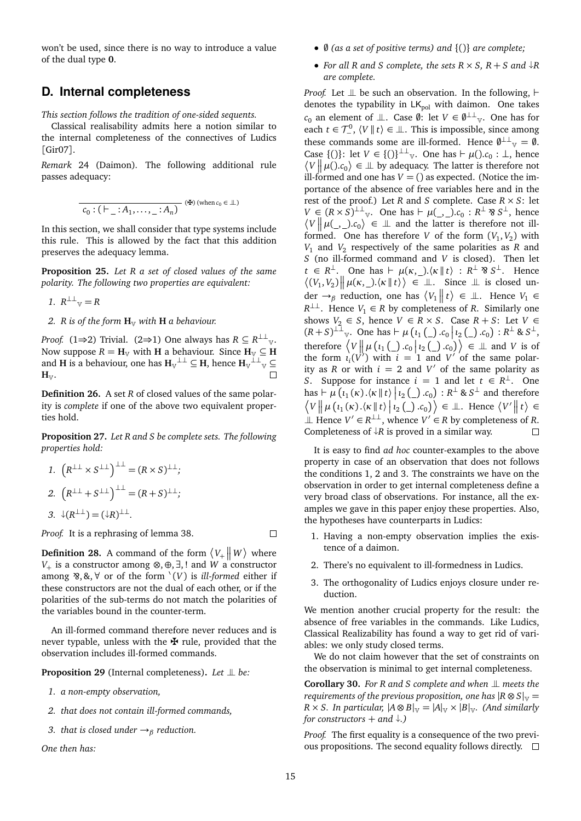won't be used, since there is no way to introduce a value of the dual type **0**.

## **D. Internal completeness**

*This section follows the tradition of one-sided sequents.*

Classical realisability admits here a notion similar to the internal completeness of the connectives of Ludics [Gir07].

*Remark* 24 (Daimon)*.* The following additional rule passes adequacy:

$$
\overline{c_0:(\vdash_{-}:A_1,\ldots,-:A_n)}\quad (\maltese)\ (\text{when }c_0\in\mathbb{L})
$$

In this section, we shall consider that type systems include this rule. This is allowed by the fact that this addition preserves the adequacy lemma.

**Proposition 25.** *Let R a set of closed values of the same polarity. The following two properties are equivalent:*

- 1.  $R^{\perp\perp}{}_{\vee} = R$
- *2. R is of the form*  $\mathbf{H}_{V}$  *with*  $\mathbf{H}$  *a behaviour.*

*Proof.* (1⇒2) Trivial. (2⇒1) One always has  $R \subseteq R^{\perp \perp}$ <sub>V</sub>. Now suppose  $R = H_V$  with **H** a behaviour. Since  $H_V \subseteq H$ and **H** is a behaviour, one has  $H_v^{\perp \perp} \subseteq H$ , hence  $H_v^{\perp \perp}$   $\subseteq$  $H_{\mathbb{V}}$ .  $\Box$ 

**Definition 26.** A set *R* of closed values of the same polarity is *complete* if one of the above two equivalent properties hold.

**Proposition 27.** *Let R and S be complete sets. The following properties hold:*

1.  $(R^{\perp\perp} \times S^{\perp\perp})^{\perp\perp} = (R \times S)^{\perp\perp};$ 2.  $(R^{\perp\perp} + S^{\perp\perp})^{\perp\perp} = (R + S)^{\perp\perp};$ 

$$
3. \ \ \downarrow (R^{\perp \perp}) = (\downarrow R)^{\perp \perp}.
$$

*Proof.* It is a rephrasing of lemma 38.

**Definition 28.** A command of the form  $\langle V_+ \parallel W \rangle$  where *V*<sub>+</sub> is a constructor among ⊗, ⊕, ∃, ! and *W* a constructor among ⊗, &, ∀ or of the form `(*V*) is *ill-formed* either if these constructors are not the dual of each other, or if the polarities of the sub-terms do not match the polarities of the variables bound in the counter-term.

An ill-formed command therefore never reduces and is never typable, unless with the  $\maltese$  rule, provided that the observation includes ill-formed commands.

**Proposition 29** (Internal completeness). Let  $\perp$  be:

- *1. a non-empty observation,*
- *2. that does not contain ill-formed commands,*
- *3. that is closed under* →*<sup>β</sup> reduction.*

*One then has:*

- $\emptyset$  (as a set of positive terms) and  $\{()\}$  are complete;
- For all R and S complete, the sets  $R \times S$ ,  $R + S$  and  $\downarrow R$ *are complete.*

*Proof.* Let  $\perp \!\!\! \perp$  be such an observation. In the following,  $\vdash$ denotes the typability in  $LK_{pol}$  with daimon. One takes  $c_0$  an element of  $\perp\!\!\!\perp$ . Case  $\emptyset$ : let  $V \in \emptyset^{\perp\perp}$  . One has for each  $t \in \mathcal{T}^0$ ,  $\langle V | t \rangle \in \mathcal{I}$ . This is impossible, since among these commands some are ill-formed. Hence  $\emptyset^{\perp\perp}{}_{\vee} = \emptyset$ . Case  $\{()\}\$ : let  $V \in \{()\}^{\perp\perp}$  v. One has  $\vdash \mu() . c_0 : \perp$ , hence  $\langle V \mid \mu() c_0 \rangle \in \mathbb{L}$  by adequacy. The latter is therefore not ill-formed and one has  $V = ()$  as expected. (Notice the importance of the absence of free variables here and in the rest of the proof.) Let *R* and *S* complete. Case  $R \times S$ : let  $V \in (R \times S)^{\perp\perp}$  *v*. One has  $\vdash \mu(\underline{\ } , \underline{\ } ) . c_0 : R^{\perp} \otimes S^{\perp}$ , hence  $\langle V \, || \, \mu(\_,\_)$ . $c_0 \rangle \in \bot$  and the latter is therefore not illformed. One has therefore *V* of the form  $(V_1, V_2)$  with *V*<sup>1</sup> and *V*<sup>2</sup> respectively of the same polarities as *R* and *S* (no ill-formed command and *V* is closed). Then let  $t \in R^{\perp}$ . One has  $\vdash \mu(\kappa, \_)$ . $\langle \kappa \parallel t \rangle : R^{\perp} \otimes S^{\perp}$ . Hence  $\langle (V_1, V_2) \mid \mid \mu(\kappa, \_) . \langle \kappa \mid \mid t \rangle \rangle \in \mathbb{L}$ . Since  $\perp$  is closed under  $\rightarrow$ <sub>β</sub> reduction, one has  $\langle V_1 \parallel t \rangle \in \mathbb{L}$ . Hence  $V_1 \in$  $R^{\perp\perp}$ . Hence *V*<sub>1</sub> ∈ *R* by completeness of *R*. Similarly one shows  $V_2 \in S$ , hence  $V \in R \times S$ . Case  $R + S$ : Let  $V \in$  $(R+S)^{\perp \perp}$  v. One has  $\vdash \mu(\iota_1(\_) \cdot c_0 | \iota_2(\_) \cdot c_0) : R^{\perp} \& S^{\perp}$ therefore  $\langle V \parallel \mu (i_1 (\_) . c_0 \mid i_2 (\_) . c_0 \rangle \in \mathbb{L}$  and *V* is of the form  $\iota_i(V^i)$  with  $i = 1$  and  $V'$  of the same polarity as *R* or with  $i = 2$  and  $V'$  of the same polarity as *S*. Suppose for instance  $i = 1$  and let  $t \in R^{\perp}$ . One has  $\vdash \mu(\iota_1(\kappa).\{\kappa \mid t\} | \iota_2(\_) . c_0) : R^\perp \& S^\perp$  and therefore  $\langle V \Vert \mu(t_1(\kappa), \langle \kappa \Vert t \rangle | t_2(\underline{\ }).c_0) \rangle \in \mathbb{L}$ . Hence  $\langle V' \Vert t \rangle \in$ ⊥ Hence  $V' \in R^{\perp \perp}$ , whence  $V' \in R$  by completeness of *R*. Completeness of  $\downarrow$ *R* is proved in a similar way.

It is easy to find *ad hoc* counter-examples to the above property in case of an observation that does not follows the conditions 1, 2 and 3. The constraints we have on the observation in order to get internal completeness define a very broad class of observations. For instance, all the examples we gave in this paper enjoy these properties. Also, the hypotheses have counterparts in Ludics:

- 1. Having a non-empty observation implies the existence of a daimon.
- 2. There's no equivalent to ill-formedness in Ludics.
- 3. The orthogonality of Ludics enjoys closure under reduction.

We mention another crucial property for the result: the absence of free variables in the commands. Like Ludics, Classical Realizability has found a way to get rid of variables: we only study closed terms.

We do not claim however that the set of constraints on the observation is minimal to get internal completeness.

**Corollary 30.** For R and S complete and when  $\perp$  meets the *requirements of the previous proposition, one has*  $|R \otimes S|_V =$  $R \times S$ . In particular,  $|A \otimes B|_{\mathbb{V}} = |A|_{\mathbb{V}} \times |B|_{\mathbb{V}}$ . (And similarly *for constructors*  $+$  *and*  $\downarrow$ .)

*Proof.* The first equality is a consequence of the two previous propositions. The second equality follows directly.  $\square$ 

 $\Box$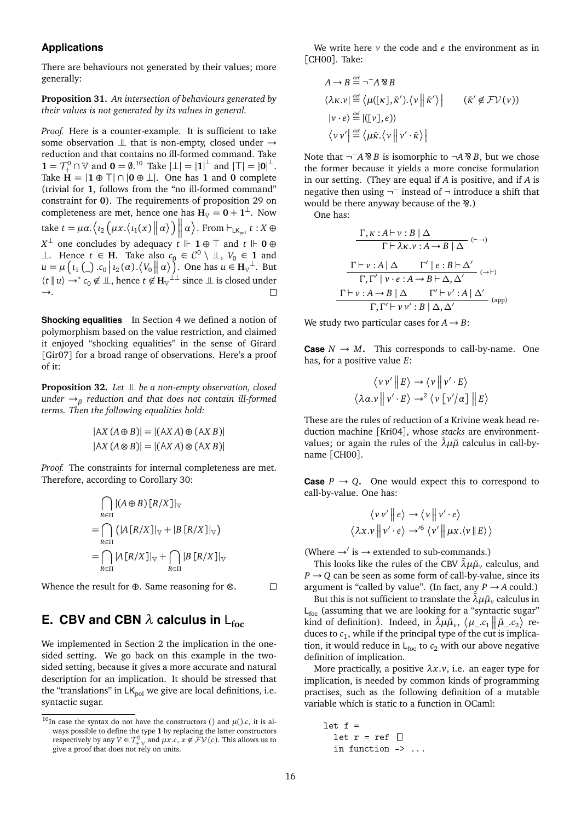#### **Applications**

There are behaviours not generated by their values; more generally:

**Proposition 31.** *An intersection of behaviours generated by their values is not generated by its values in general.*

*Proof.* Here is a counter-example. It is sufficient to take some observation  $\perp\!\!\!\perp$  that is non-empty, closed under  $\rightarrow$ reduction and that contains no ill-formed command. Take **1** =  $\mathcal{T}^0_+$  ∩ ∇ and **0** = **0**.<sup>10</sup> Take  $|\perp| = |1|^{\perp}$  and  $|\top| = |0|^{\perp}$ . Take  $H = |1 \oplus \top| \cap |0 \oplus \bot|$ . One has **1** and **0** complete (trivial for **1**, follows from the "no ill-formed command" constraint for **0**). The requirements of proposition 29 on completeness are met, hence one has  $H_v = 0 + 1^{\perp}$ . Now take  $t = \mu \alpha. \left\langle \iota_2 \left( \mu x. \left\langle \iota_1(x) \right| \middle| \alpha \right\rangle \right) \right|$  $\vert \alpha \rangle$ . From  $\vdash_{\mathsf{LK}_{pol}} t : X \oplus$ *X*<sup>⊥</sup> one concludes by adequacy  $\iota$  **i 1**  $\oplus$  *T* and *t* **l 0**  $\oplus$ ⊥. Hence  $t \in H$ . Take also  $c_0 \in C^0 \setminus \bot$ ,  $V_0 \in \mathbf{1}$  and  $u = \mu\left(\iota_1\left(\_\right) . c_0 \,|\, \iota_2(\alpha) . \langle V_0 || \alpha \rangle\right)$ . One has  $u \in H_V^{\perp}$ . But  $\langle t | u \rangle \rightarrow^* c_0 \notin \mathbb{L}$ , hence  $t \notin H_{\mathbb{V}}^{\perp}$  since  $\mathbb{L}$  is closed under  $\rightarrow$ .

**Shocking equalities** In Section 4 we defined a notion of polymorphism based on the value restriction, and claimed it enjoyed "shocking equalities" in the sense of Girard [Gir07] for a broad range of observations. Here's a proof of it:

**Proposition 32.** Let  $\perp$  be a non-empty observation, closed *under* →*<sup>β</sup> reduction and that does not contain ill-formed terms. Then the following equalities hold:*

$$
|AX (A \oplus B)| = |(AX A) \oplus (AX B)|
$$
  

$$
|AX (A \otimes B)| = |(AX A) \otimes (AX B)|
$$

*Proof.* The constraints for internal completeness are met. Therefore, according to Corollary 30:

$$
\bigcap_{R \in \Pi} |(A \oplus B) [R/X]|_{\mathbb{V}}
$$
  
= 
$$
\bigcap_{R \in \Pi} (|A[R/X]|_{\mathbb{V}} + |B[R/X]|_{\mathbb{V}})
$$
  
= 
$$
\bigcap_{R \in \Pi} |A[R/X]|_{\mathbb{V}} + \bigcap_{R \in \Pi} |B[R/X]|_{\mathbb{V}}
$$

Whence the result for ⊕. Same reasoning for ⊗.

#### $\Box$

# **E. CBV and CBN**  $\lambda$  **calculus in** L<sub>foc</sub>

We implemented in Section 2 the implication in the onesided setting. We go back on this example in the twosided setting, because it gives a more accurate and natural description for an implication. It should be stressed that the "translations" in  $LK_{pol}$  we give are local definitions, i.e. syntactic sugar.

We write here *v* the code and *e* the environment as in [CH00]. Take:

$$
A \rightarrow B \stackrel{\text{def}}{=} \neg^{-} A \otimes B
$$
  
\n
$$
\langle \lambda \kappa. \nu | \stackrel{\text{def}}{=} \langle \mu([\kappa], \bar{\kappa}'). \langle \nu | |\bar{\kappa}' \rangle | \qquad (\bar{\kappa}' \notin \mathcal{F} \mathcal{V}(\nu))
$$
  
\n
$$
| \nu \cdot e \rangle \stackrel{\text{def}}{=} |([\nu], e) \rangle
$$
  
\n
$$
\langle \nu \nu' | \stackrel{\text{def}}{=} \langle \mu \bar{\kappa}. \langle \nu | |\nu' \cdot \bar{\kappa} \rangle |
$$

Note that  $\neg^{-}A \otimes B$  is isomorphic to  $\neg A \otimes B$ , but we chose the former because it yields a more concise formulation in our setting. (They are equal if *A* is positive, and if *A* is negative then using  $\neg$  instead of  $\neg$  introduce a shift that would be there anyway because of the  $\delta$ .)

One has:

$$
\frac{\Gamma, \kappa : A \vdash \nu : B \mid \Delta}{\Gamma \vdash \lambda \kappa. \nu : A \rightarrow B \mid \Delta} \xrightarrow{(\vdash \rightarrow)}
$$
\n
$$
\frac{\Gamma \vdash \nu : A \mid \Delta \qquad \Gamma' \mid e : B \vdash \Delta'}{\Gamma, \Gamma' \mid \nu \cdot e : A \rightarrow B \vdash \Delta, \Delta'} \xrightarrow{(\rightarrow \vdash)}
$$
\n
$$
\frac{\Gamma \vdash \nu : A \rightarrow B \mid \Delta \qquad \Gamma' \vdash \nu' : A \mid \Delta'}{\Gamma, \Gamma' \vdash \nu \nu' : B \mid \Delta, \Delta'} \xrightarrow{(app)}
$$

We study two particular cases for  $A \rightarrow B$ :

**Case**  $N \rightarrow M$ . This corresponds to call-by-name. One has, for a positive value *E*:

$$
\langle v v' || E \rangle \rightarrow \langle v || v' \cdot E \rangle
$$

$$
\langle \lambda \alpha. v || v' \cdot E \rangle \rightarrow^{2} \langle v [v'/\alpha] || E \rangle
$$

These are the rules of reduction of a Krivine weak head reduction machine [Kri04], whose *stacks* are environmentvalues; or again the rules of the  $\bar{\lambda} \mu \tilde{\mu}$  calculus in call-byname [CH00].

**Case**  $P \rightarrow Q$ . One would expect this to correspond to call-by-value. One has:

$$
\langle v v' || e \rangle \rightarrow \langle v || v' \cdot e \rangle
$$
  

$$
\langle \lambda x. v || v' \cdot e \rangle \rightarrow^{\prime 6} \langle v' || \mu x. \langle v || E \rangle \rangle
$$

(Where  $\rightarrow$  ' is  $\rightarrow$  extended to sub-commands.)

This looks like the rules of the CBV  $\bar{\lambda}\mu\tilde{\mu}_{\nu}$  calculus, and  $P \rightarrow Q$  can be seen as some form of call-by-value, since its argument is "called by value". (In fact, any  $P \rightarrow A$  could.)

But this is not sufficient to translate the  $\bar{\lambda}\mu\tilde{\mu}_{\nu}$  calculus in  $L_{\text{foc}}$  (assuming that we are looking for a "syntactic sugar" kind of definition). Indeed, in  $\bar{\lambda}\mu\tilde{\mu}_v$ ,  $\langle \mu_{-}c_1 \|\tilde{\mu}_{-}c_2 \rangle$  reduces to  $c_1$ , while if the principal type of the cut is implication, it would reduce in  $L_{\text{foc}}$  to  $c_2$  with our above negative definition of implication.

More practically, a positive *λx*.*v*, i.e. an eager type for implication, is needed by common kinds of programming practises, such as the following definition of a mutable variable which is static to a function in OCaml:

```
let f =let r = ref []
  in function -> ...
```
 $\frac{10}{10}$ In case the syntax do not have the constructors () and  $\mu$ ().*c*, it is always possible to define the type **1** by replacing the latter constructors respectively by any  $V \in \mathcal{T}^0_{+\mathcal{V}}$  and  $\mu x.c$ ,  $x \notin \mathcal{FV}(c)$ . This allows us to give a proof that does not rely on units.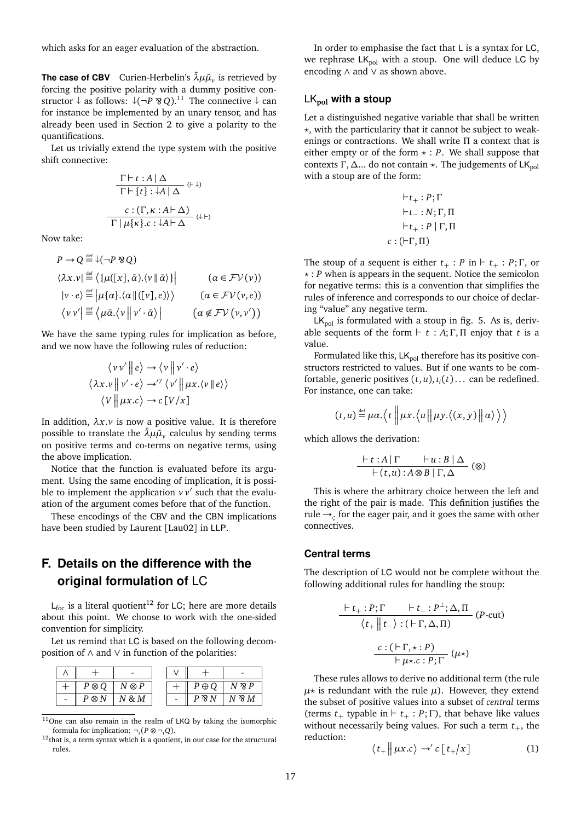which asks for an eager evaluation of the abstraction.

**The case of CBV** Curien-Herbelin's  $\bar{\lambda} \mu \tilde{\mu}_{\nu}$  is retrieved by forcing the positive polarity with a dummy positive constructor  $\downarrow$  as follows:  $\downarrow$ (¬*P* �� *Q*).<sup>11</sup> The connective  $\downarrow$  can for instance be implemented by an unary tensor, and has already been used in Section 2 to give a polarity to the quantifications.

Let us trivially extend the type system with the positive shift connective:

$$
\frac{\Gamma\vdash t:A|\Delta}{\Gamma\vdash \{t\}:\downarrow A|\Delta}(\vdash\downarrow)
$$
\n
$$
\frac{c:(\Gamma,\kappa:A\vdash\Delta)}{\Gamma|\mu\{\kappa\}c:\downarrow A\vdash\Delta}(\vdash)
$$

Now take:

def

$$
P \to Q \stackrel{\text{def}}{=} \sqrt{-P \otimes Q}
$$
  
\n
$$
\langle \lambda x. v | \stackrel{\text{def}}{=} \langle \{ \mu([x], \bar{\alpha}). \langle v | \bar{\alpha} \rangle \} \rangle
$$
  
\n
$$
|v \cdot e \rangle \stackrel{\text{def}}{=} |\mu \{ \alpha \}. \langle \alpha | ([v], e) \rangle \rangle
$$
  
\n
$$
\langle v v' | \stackrel{\text{def}}{=} \langle \mu \bar{\alpha}. \langle v | | v' \cdot \bar{\alpha} \rangle \rangle
$$
  
\n
$$
\langle \alpha \notin \mathcal{F} \mathcal{V}(v, v') \rangle
$$

We have the same typing rules for implication as before, and we now have the following rules of reduction:

$$
\langle v v' || e \rangle \rightarrow \langle v || v' \cdot e \rangle
$$
  

$$
\langle \lambda x. v || v' \cdot e \rangle \rightarrow^{\gamma} \langle v' || \mu x. \langle v || e \rangle \rangle
$$
  

$$
\langle V || \mu x. c \rangle \rightarrow c [V/x]
$$

In addition,  $\lambda x \cdot v$  is now a positive value. It is therefore possible to translate the  $\bar{\lambda} \mu \tilde{\mu}_\nu$  calculus by sending terms on positive terms and co-terms on negative terms, using the above implication.

Notice that the function is evaluated before its argument. Using the same encoding of implication, it is possible to implement the application  $v v'$  such that the evaluation of the argument comes before that of the function.

These encodings of the CBV and the CBN implications have been studied by Laurent [Lau02] in LLP.

# **F. Details on the difference with the original formulation of** LC

 $L_{\text{foc}}$  is a literal quotient<sup>12</sup> for LC; here are more details about this point. We choose to work with the one-sided convention for simplicity.

Let us remind that LC is based on the following decomposition of ∧ and ∨ in function of the polarities:

| $P \otimes Q$ | $N \otimes P$ |  | $\oplus$ O |       |
|---------------|---------------|--|------------|-------|
| ⊗             | $8 \, M$      |  | D          | N 8 M |

 $11$ One can also remain in the realm of LKQ by taking the isomorphic formula for implication:  $\neg_i(P \otimes \neg_i Q)$ .

 $12$ that is, a term syntax which is a quotient, in our case for the structural rules.

In order to emphasise the fact that L is a syntax for LC, we rephrase  $LK_{pol}$  with a stoup. One will deduce LC by encoding ∧ and ∨ as shown above.

### LK**pol with a stoup**

Let a distinguished negative variable that shall be written  $\star$ , with the particularity that it cannot be subject to weakenings or contractions. We shall write Π a context that is either empty or of the form  $\star$  : *P*. We shall suppose that contexts Γ, Δ... do not contain  $\star$ . The judgements of LK<sub>pol</sub> with a stoup are of the form:

$$
\vdash t_+ : P; \Gamma
$$
  
\n
$$
\vdash t_- : N; \Gamma, \Pi
$$
  
\n
$$
\vdash t_+ : P | \Gamma, \Pi
$$
  
\n
$$
c : (\vdash \Gamma, \Pi)
$$

The stoup of a sequent is either  $t_+$ : *P* in  $\vdash t_+$ : *P*;  $\Gamma$ , or  $\star$  *: P* when is appears in the sequent. Notice the semicolon for negative terms: this is a convention that simplifies the rules of inference and corresponds to our choice of declaring "value" any negative term.

 $LK_{pol}$  is formulated with a stoup in fig. 5. As is, derivable sequents of the form  $\vdash t : A; \Gamma, \Pi$  enjoy that *t* is a value.

Formulated like this,  $LK_{pol}$  therefore has its positive constructors restricted to values. But if one wants to be comfortable, generic positives  $(t, u)$ ,  $t_i(t)$ ... can be redefined. For instance, one can take:

$$
(t, u) \stackrel{\text{def}}{=} \mu \alpha. \langle t \mid \mid \mu x. \langle u \mid \mid \mu y. \langle (x, y) \mid \mid \alpha \rangle \rangle \rangle
$$

which allows the derivation:

$$
\frac{\vdash t:A|\Gamma\qquad \vdash u:B|\Delta}{\vdash(t,u):A\otimes B|\Gamma,\Delta}(\otimes)
$$

This is where the arbitrary choice between the left and the right of the pair is made. This definition justifies the rule →*<sup>ς</sup>* for the eager pair, and it goes the same with other connectives.

#### **Central terms**

The description of LC would not be complete without the following additional rules for handling the stoup:

$$
\frac{\vdash t_{+}: P; \Gamma \qquad \vdash t_{-}: P^{\perp}; \Delta, \Pi}{\langle t_{+} \Vert t_{-} \rangle : (\vdash \Gamma, \Delta, \Pi)} \quad (P\text{-cut})
$$
\n
$$
\frac{c : (\vdash \Gamma, \star : P)}{\vdash \mu \star . c : P; \Gamma} (\mu \star)
$$

These rules allows to derive no additional term (the rule  $\mu$ <sup>\*</sup> is redundant with the rule  $\mu$ ). However, they extend the subset of positive values into a subset of *central* terms (terms  $t_{+}$  typable in  $\vdash t_{+} : P; \Gamma$ ), that behave like values without necessarily being values. For such a term  $t_{+}$ , the reduction:

$$
\langle t_+ \big| \big| \mu x.c \rangle \to' c \left[ t_+ / x \right] \tag{1}
$$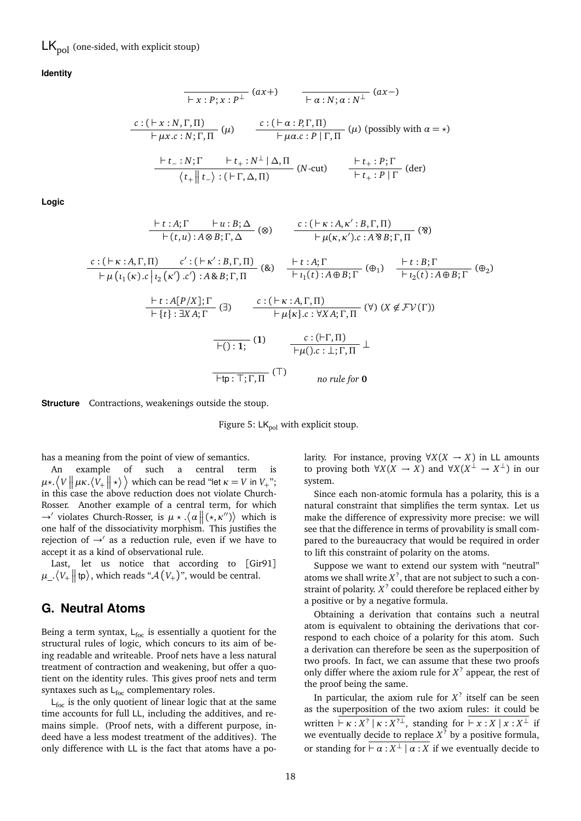$LK_{\text{pol}}$  (one-sided, with explicit stoup)

**Identity**

$$
\frac{c:(\vdash x:N,\Gamma,\Pi)}{\vdash \mu x.c:N,\Gamma,\Pi} \quad (ax+) \quad \overline{\vdash \alpha:N,\alpha:N^{\perp}} \quad (ax-)
$$
\n
$$
\frac{c:(\vdash x:N,\Gamma,\Pi)}{\vdash \mu x.c:N,\Gamma,\Pi} \quad (\mu) \quad \frac{c:(\vdash \alpha:P,\Gamma,\Pi)}{\vdash \mu \alpha.c:P|\Gamma,\Pi} \quad (\mu) \quad (\text{possibly with } \alpha = \star)
$$
\n
$$
\frac{\vdash t_{-}:N;\Gamma \quad \vdash t_{+}:N^{\perp}|\Delta,\Pi}{\langle t_{+}||t_{-}\rangle:(\vdash \Gamma,\Delta,\Pi)} \quad (N\text{-cut}) \quad \frac{\vdash t_{+}:P;\Gamma}{\vdash t_{+}:P|\Gamma} \quad (\text{der})}
$$

**Logic**

$$
\frac{\vdash t:A;\Gamma \quad \vdash u:B;\Delta}_{\vdash (t,u):A\otimes B;\Gamma,\Delta}(\otimes) \qquad \frac{c:(\vdash \kappa:A,\kappa':B,\Gamma,\Pi)}{\vdash \mu(\kappa,\kappa').c:A\otimes B;\Gamma,\Pi}(\otimes)
$$
\n
$$
\frac{c:(\vdash \kappa:A,\Gamma,\Pi) \quad c':(\vdash \kappa':B,\Gamma,\Pi)}{\vdash \mu(\iota_1(\kappa).c|_{\iota_2}(\kappa').c'):A\otimes B;\Gamma,\Pi}(\otimes) \qquad \frac{\vdash t:A;\Gamma}{\vdash \iota_1(t):A\oplus B;\Gamma}(\oplus_1) \qquad \frac{\vdash t:B;\Gamma}{\vdash \iota_2(t):A\oplus B;\Gamma}(\oplus_2)}{\vdash \iota_1(t):A\oplus B;\Gamma}(\oplus_2)
$$
\n
$$
\frac{\vdash t:A[P/X];\Gamma}{\vdash \{\iota\}:\exists XA;\Gamma}(\exists) \qquad \frac{c:(\vdash \kappa:A,\Gamma,\Pi)}{\vdash \mu\{\kappa\}.c:\forall XA;\Gamma,\Pi}(\forall) (X \notin \mathcal{FV}(\Gamma))}
$$
\n
$$
\frac{\vdash \iota_1(t):A;\Gamma,\Pi}{\vdash \mu(\iota_1(t):A;\Gamma,\Pi}(\Gamma)) \qquad \frac{c:(\vdash \Gamma,\Pi)}{\vdash \mu(\iota_1(t):A;\Gamma,\Pi}(\Gamma))}{\text{for } \pi\text{ the for } 0}
$$

**Structure** Contractions, weakenings outside the stoup.

Figure 5:  $LK_{pol}$  with explicit stoup.

has a meaning from the point of view of semantics.

An example of such a central term is  $\mu$ \*.  $\langle V \parallel \mu \kappa. \langle V_+ \parallel \star \rangle$   $\rangle$  which can be read "let  $\kappa = V$  in  $V_+$ "; in this case the above reduction does not violate Church-Rosser. Another example of a central term, for which  $\rightarrow'$  violates Church-Rosser, is  $\mu \star \langle \alpha \mid | (\star, \kappa'') \rangle$  which is one half of the dissociativity morphism. This justifies the rejection of  $\rightarrow'$  as a reduction rule, even if we have to accept it as a kind of observational rule.

Last, let us notice that according to [Gir91]  $\mu_-\langle V_+ \big\|$  tp $\rangle$ , which reads " $\mathcal{A}(V_+)$ ", would be central.

# **G. Neutral Atoms**

Being a term syntax,  $L_{foc}$  is essentially a quotient for the structural rules of logic, which concurs to its aim of being readable and writeable. Proof nets have a less natural treatment of contraction and weakening, but offer a quotient on the identity rules. This gives proof nets and term syntaxes such as  $L_{\text{foc}}$  complementary roles.

 $L_{\text{foc}}$  is the only quotient of linear logic that at the same time accounts for full LL, including the additives, and remains simple. (Proof nets, with a different purpose, indeed have a less modest treatment of the additives). The only difference with LL is the fact that atoms have a polarity. For instance, proving  $\forall X(X \rightarrow X)$  in LL amounts to proving both  $\forall X(X \to X)$  and  $\forall X(X^{\perp} \to X^{\perp})$  in our system.

Since each non-atomic formula has a polarity, this is a natural constraint that simplifies the term syntax. Let us make the difference of expressivity more precise: we will see that the difference in terms of provability is small compared to the bureaucracy that would be required in order to lift this constraint of polarity on the atoms.

Suppose we want to extend our system with "neutral" atoms we shall write  $X^?$ , that are not subject to such a constraint of polarity.  $X<sup>?</sup>$  could therefore be replaced either by a positive or by a negative formula.

Obtaining a derivation that contains such a neutral atom is equivalent to obtaining the derivations that correspond to each choice of a polarity for this atom. Such a derivation can therefore be seen as the superposition of two proofs. In fact, we can assume that these two proofs only differ where the axiom rule for  $X<sup>2</sup>$  appear, the rest of the proof being the same.

In particular, the axiom rule for  $X<sup>2</sup>$  itself can be seen as the superposition of the two axiom rules: it could be written  $\overline{K}: X^2 | \kappa : X^{2\perp}$ , standing for  $\overline{K}: X | x : X^{\perp}$  if we eventually decide to replace *X* ? by a positive formula, or standing for  $\overline{\vdash \alpha : X^{\perp} \mid \alpha : X}$  if we eventually decide to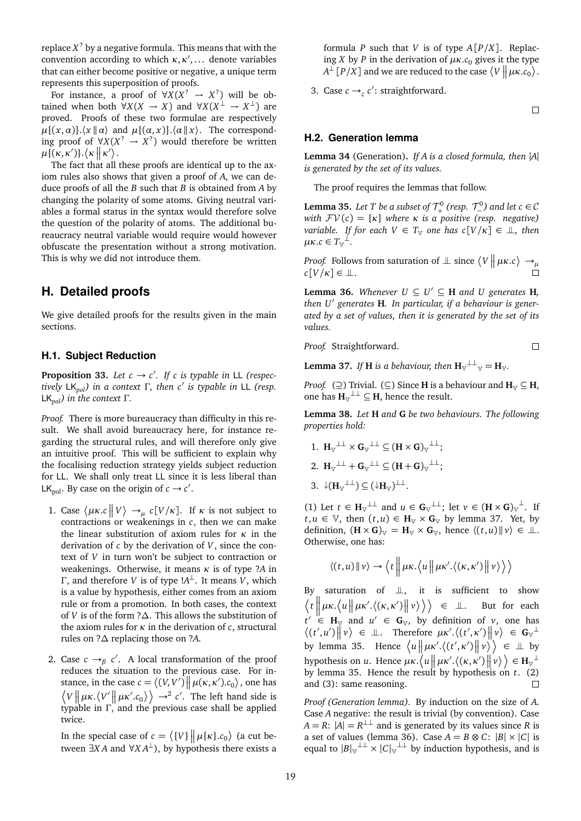replace *X* ? by a negative formula. This means that with the convention according to which  $\kappa, \kappa', \ldots$  denote variables that can either become positive or negative, a unique term represents this superposition of proofs.

For instance, a proof of  $\forall X(X^? \rightarrow X^?)$  will be obtained when both  $\forall X(X \rightarrow X)$  and  $\forall X(X^{\perp} \rightarrow X^{\perp})$  are proved. Proofs of these two formulae are respectively  $\mu\{(x,\alpha)\}\cdot\langle x \parallel \alpha \rangle$  and  $\mu\{(a,x)\}\cdot\langle a \parallel x \rangle$ . The corresponding proof of  $\forall X(X^? \rightarrow X^?)$  would therefore be written  $\mu\{(\kappa,\kappa')\}.\langle\kappa\Vert\kappa'\rangle.$ 

The fact that all these proofs are identical up to the axiom rules also shows that given a proof of *A*, we can deduce proofs of all the *B* such that *B* is obtained from *A* by changing the polarity of some atoms. Giving neutral variables a formal status in the syntax would therefore solve the question of the polarity of atoms. The additional bureaucracy neutral variable would require would however obfuscate the presentation without a strong motivation. This is why we did not introduce them.

### **H. Detailed proofs**

We give detailed proofs for the results given in the main sections.

#### **H.1. Subject Reduction**

**Proposition 33.** Let  $c \rightarrow c'$ . If c is typable in LL (respec*tively* LK*pol) in a context* <sup>Γ</sup>*, then c*<sup>0</sup> *is typable in* LL *(resp.* LK*pol) in the context* Γ*.*

*Proof.* There is more bureaucracy than difficulty in this result. We shall avoid bureaucracy here, for instance regarding the structural rules, and will therefore only give an intuitive proof. This will be sufficient to explain why the focalising reduction strategy yields subject reduction for LL. We shall only treat LL since it is less liberal than LK<sub>pol</sub>. By case on the origin of  $c \rightarrow c'$ .

- 1. Case  $\langle \mu \kappa.c \mid V \rangle \rightarrow_{\mu} c[V/\kappa]$ . If *κ* is not subject to contractions or weakenings in *c*, then we can make the linear substitution of axiom rules for *κ* in the derivation of *c* by the derivation of *V*, since the context of *V* in turn won't be subject to contraction or weakenings. Otherwise, it means *κ* is of type ?*A* in Γ, and therefore *V* is of type !*A* <sup>⊥</sup>. It means *V*, which is a value by hypothesis, either comes from an axiom rule or from a promotion. In both cases, the context of *V* is of the form ?∆. This allows the substitution of the axiom rules for *κ* in the derivation of *c*, structural rules on ?∆ replacing those on ?*A*.
- 2. Case  $c \rightarrow_{\beta} c'$ . A local transformation of the proof reduces the situation to the previous case. For instance, in the case  $c = \langle (V, V') | \mu(\kappa, \kappa').c_0 \rangle$ , one has  $\langle V \mid \mu \kappa \langle V' \mid \mu \kappa' \cdot c_0 \rangle$   $\rangle \rightarrow^2 c'$ . The left hand side is typable in Γ, and the previous case shall be applied twice.

In the special case of  $c = \langle \{V\} \mid \mid \mu \{k\} . c_0 \rangle$  (a cut between  $\exists X A$  and  $\forall X A^{\perp}$ ), by hypothesis there exists a formula *P* such that *V* is of type *A*[*P*/*X*]. Replacing *X* by *P* in the derivation of  $\mu$ *K*.*c*<sub>0</sub> gives it the type  $A^{\perp}[P/X]$  and we are reduced to the case  $\langle V \nparallel \mu \kappa . c_0 \rangle$ .

3. Case  $c \rightarrow_c c'$ : straightforward.

 $\Box$ 

 $\Box$ 

#### **H.2. Generation lemma**

**Lemma 34** (Generation)**.** *If A is a closed formula, then* |*A*| *is generated by the set of its values.*

The proof requires the lemmas that follow.

**Lemma 35.** Let T be a subset of  $\mathcal{T}^0_+$  $\tau^0$  (resp.  $\tau^0$ ) and let c ∈ C *with*  $FV(c) = \{k\}$  *where*  $k$  *is a positive (resp. negative) variable. If for each*  $V \in T_{\mathbb{V}}$  *one has*  $c[V/\kappa] \in \mathbb{I}$ , then  $μ$ *κ.c* ∈  $T$ <sup> $\downarrow$ </sup>.

*Proof.* Follows from saturation of  $\perp$  since  $\langle V \Vert \mu \kappa.c \rangle \rightarrow \mu$  $c[V/\kappa] \in \mathcal{L}$ .

**Lemma 36.** *Whenever*  $U \subseteq U' \subseteq H$  *and*  $U$  generates  $H$ *, then U*<sup>0</sup> *generates* **H***. In particular, if a behaviour is generated by a set of values, then it is generated by the set of its values.*

*Proof.* Straightforward.

**Lemma 37.** *If* **H** is a behaviour, then  $\mathbf{H}_{\mathbb{V}}^{\perp\perp}$   $\mathbb{V} = \mathbf{H}_{\mathbb{V}}$ .

*Proof.* ( $\supseteq$ ) Trivial. ( $\subseteq$ ) Since **H** is a behaviour and  $H_v \subseteq H$ , one has  $H_{V}^{\perp\perp} \subseteq H$ , hence the result.

**Lemma 38.** *Let* **H** *and* **G** *be two behaviours. The following properties hold:*

1.  $\mathbf{H}_{\mathbb{V}}^{\perp\perp} \times \mathbf{G}_{\mathbb{V}}^{\perp\perp} \subseteq (\mathbf{H} \times \mathbf{G})_{\mathbb{V}}^{\perp\perp};$ 2.  $\mathbf{H}_{\mathbb{V}}^{\perp\perp} + \mathbf{G}_{\mathbb{V}}^{\perp\perp} \subseteq (\mathbf{H} + \mathbf{G})_{\mathbb{V}}^{\perp\perp};$ 3.  $\downarrow$ **(H**<sub>V</sub><sup> $\perp$ </sup>)  $\subseteq$  ( $\downarrow$ **H**<sub>V</sub>)<sup> $\perp$ </sup>.

(1) Let  $t \in H_{\mathbb{V}}^{\perp \perp}$  and  $u \in G_{\mathbb{V}}^{\perp \perp}$ ; let  $v \in (H \times G)_{\mathbb{V}}^{\perp}$ . If  $t, u \in \mathbb{V}$ , then  $(t, u) \in H_{\mathbb{V}} \times G_{\mathbb{V}}$  by lemma 37. Yet, by definition,  $(\mathbf{H} \times \mathbf{G})_{V} = \mathbf{H}_{V} \times \mathbf{G}_{V}$ , hence  $\langle (t, u) | v \rangle \in \mathbb{L}$ . Otherwise, one has:

$$
\langle (t, u) \| \nu \rangle \rightarrow \langle t \|\mu \kappa. \langle u \| \mu \kappa'. \langle (\kappa, \kappa') \| \nu \rangle \rangle
$$

By saturation of  $\perp\!\!\!\perp$ , it is sufficient to show  $\langle t \rangle \Big\| \mu \kappa \cdot \langle u \Vert \mu \kappa' \cdot \langle (\kappa, \kappa') \Vert v \rangle \rangle \Big\rangle \in \mathbb{L}$ . But for each  $\vert$  $t' \in H_{\mathbb{V}}$  and  $u' \in G_{\mathbb{V}}$ , by definition of *v*, one has  $\langle (t', u') \mid v \rangle \in \mathbb{L}$ . Therefore  $\mu \kappa'.\langle (t', \kappa') \mid v \rangle \in G_{v}$ by lemma 35. Hence  $\langle u \nVert \mu \kappa'. \langle (t', \kappa') \nVert v \rangle \rangle \in \mathbb{L}$  by hypothesis on *u*. Hence  $\mu \kappa \cdot \langle u \mid \mu \kappa' \cdot \langle (\kappa, \kappa') \mid v \rangle \rangle \in H_{\mathbb{V}}^{\perp}$ by lemma 35. Hence the result by hypothesis on *t*. (2) and (3): same reasoning.  $\Box$ 

*Proof (Generation lemma).* By induction on the size of *A*. Case *A* negative: the result is trivial (by convention). Case  $A = R$ :  $|A| = R^{\perp \perp}$  and is generated by its values since *R* is a set of values (lemma 36). Case  $A = B \otimes C: |B| \times |C|$  is equal to  $|B|_v^{\perp\perp} \times |C|_v^{\perp\perp}$  by induction hypothesis, and is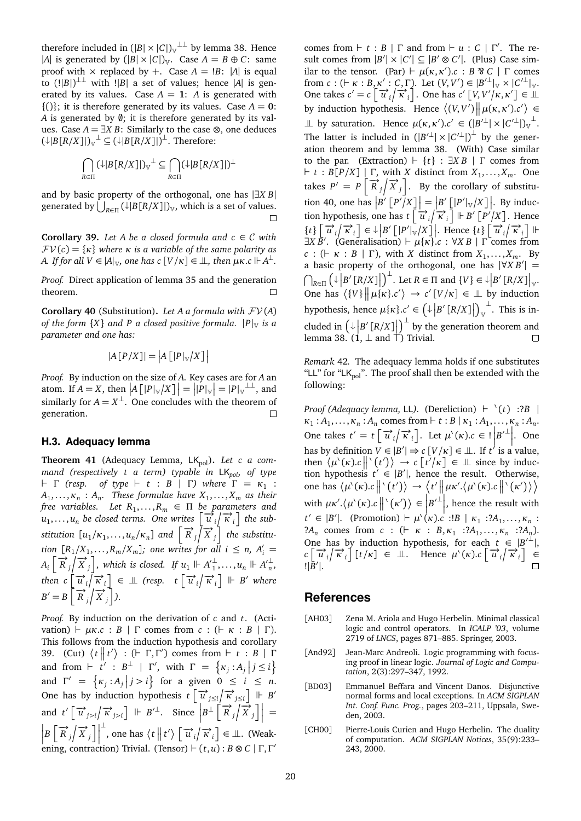therefore included in  $(|B| \times |C|)_v^{\perp \perp}$  by lemma 38. Hence |*A*| is generated by  $(|B| \times |C|)$ <sub>V</sub>. Case  $A = B \oplus C$ : same proof with  $\times$  replaced by +. Case  $A = |B|$ : |A| is equal to  $(|B|)^{\perp}$  with  $|B|$  a set of values; hence  $|A|$  is generated by its values. Case  $A = 1$ : *A* is generated with  $\{( )\}$ ; it is therefore generated by its values. Case  $A = 0$ : *A* is generated by  $\emptyset$ ; it is therefore generated by its values. Case  $A = \exists X B$ : Similarly to the case  $\otimes$ , one deduces  $(\downarrow |B[R/X]|)_{\vee}^{\perp} \subseteq (\downarrow |B[R/X]|)^{\perp}$ . Therefore:

$$
\bigcap_{R\in\Pi} (\downarrow|B[R/X]|)_{\mathbb V}^{\perp} \subseteq \bigcap_{R\in\Pi} (\downarrow|B[R/X]|)^{\perp}
$$

and by basic property of the orthogonal, one has |∃*X B*| generated by  $\bigcup_{R\in\Pi} (\downarrow|B[R/X]|)_{\mathbb V}$ , which is a set of values.

**Corollary 39.** *Let A be a closed formula and*  $c \in \mathcal{C}$  *with*  $FV(c) = \{k\}$  where  $\kappa$  *is a variable of the same polarity as A. If for all*  $V \in |A|_V$ *, one has*  $c[V/\kappa] \in I$ *, then*  $\mu \kappa$ *.c*  $\Vdash A^{\perp}$ .

*Proof.* Direct application of lemma 35 and the generation theorem.  $\Box$ 

**Corollary 40** (Substitution). Let A a formula with  $\mathcal{F}V(A)$ *of the form*  ${X}$  *and P a closed positive formula.*  $|P|_V$  *is a parameter and one has:*

$$
|A[P/X]| = |A[|P|_{\mathbb{V}}/X]|
$$

*Proof.* By induction on the size of *A*. Key cases are for *A* an atom. If  $A = X$ , then  $|A [|P|_V / X]| = |P|_V | = |P|_V^{\perp \perp}$ , and similarly for  $A = X^{\perp}$ . One concludes with the theorem of generation.  $\Box$ 

#### **H.3. Adequacy lemma**

Theorem 41 (Adequacy Lemma, LK<sub>pol</sub>). Let c a com*mand (respectively t a term) typable in* LK*pol, of type*  $\vdash$  Γ (resp. of type  $\vdash$  t : B | Γ) where  $\Gamma = \kappa_1$  :  $A_1, \ldots, K_n : A_n$ . These formulae have  $X_1, \ldots, X_m$  as their *free variables. Let R*<sup>1</sup> , . . . ,*R<sup>m</sup>* ∈ Π *be parameters and*  $u_1, \ldots, u_n$  be closed terms. One writes  $\left[ \overrightarrow{u}_i / \overrightarrow{\kappa}_i \right]$  the sub*stitution*  $[u_1/\kappa_1,\ldots,u_n/\kappa_n]$  and  $\left[\overrightarrow{R}_j/\overrightarrow{X}_j\right]$  the substitu*tion*  $[R_1/X_1, \ldots, R_m/X_m]$ ; one writes for all  $i \le n$ ,  $A'_i =$  $A_i \left[ \overrightarrow{R}_j / \overrightarrow{X}_j \right]$ , which is closed. If  $u_1 \Vdash A_1^{\perp}$  $\frac{1}{1}, \ldots, u_n \Vdash A_n^{\prime \perp}$ *n , then*  $c \left[ \overrightarrow{u_i} \right] \overrightarrow{\kappa_i} \right] \in \mathbb{L}$  (resp.  $t \left[ \overrightarrow{u_i} \right] \overrightarrow{\kappa_i} \right] \Vdash B'$  where  $B' = B \left[ \overrightarrow{R}_j / \overrightarrow{X}_j \right]$ ).

*Proof.* By induction on the derivation of *c* and *t*. (Activation)  $\vdash \mu \kappa.c : B \mid \Gamma$  comes from  $c : (\vdash \kappa : B \mid \Gamma)$ . This follows from the induction hypothesis and corollary 39. (Cut)  $\langle t \mid t' \rangle : (- \Gamma, \Gamma')$  comes from  $\vdash t : B \mid \Gamma$ and from  $\vdash$   $\dot{t}' : B^{\perp} \mid \Gamma'$ , with  $\Gamma = \{ \kappa_j : A_j \mid j \leq i \}$ and  $\Gamma' = {\kappa_j : A_j | j > i}$  for a given  $0 \le i \le n$ . One has by induction hypothesis  $t \left[ \vec{u} \right]_{\leq i} \left| \vec{k} \right| \neq B'$ and  $t' \left[ \overrightarrow{u}_{j>i} \right] \overrightarrow{\kappa}_{j>i} \left] \Vdash B'^{\perp}$ . Since  $B^{\perp} \left[ \overrightarrow{R}_j \right] \overrightarrow{X}_j \left] =$  $\left| B\left[\overrightarrow{R}_j\right|\overrightarrow{X}_j\right]$  $\downarrow$ , one has  $\langle t | t' \rangle \left[ \overrightarrow{u}_i / \overrightarrow{\kappa}_i \right] \in \mathbb{L}$ . (Weakening, contraction) Trivial. (Tensor)  $\vdash (t, u) : B \otimes C \mid \Gamma, \Gamma'$ 

comes from  $\vdash t : B \mid \Gamma$  and from  $\vdash u : C \mid \Gamma'$ . The result comes from  $|B'| \times |C'| \subseteq |B' \otimes C'|$ . (Plus) Case similar to the tensor. (Par)  $\vdash \mu(\kappa, \kappa').c : B \otimes C \mid \Gamma$  comes from *c* :  $(F \kappa : B, \kappa' : C, \Gamma)$ . Let  $(V, V') \in |B'| \vee \kappa |C'| \vee \kappa$ . One takes  $c' = c \left[ \vec{u_i} / \vec{\kappa_i} \right]$ . One has  $c' \left[ V, V'/\kappa, \kappa' \right] \in \mathbb{L}$ by induction hypothesis. Hence  $\langle (V, V') | \mu(\kappa, \kappa') \cdot c' \rangle$  $\perp \!\!\!\perp$  by saturation. Hence  $\mu(\kappa, \kappa')$ . $c' \in (|B'^{\perp}| \times |C'^{\perp}|)_{\nu}^{\perp}$ . The latter is included in  $(|B'^{\perp}| \times |C'^{\perp}|)^{\perp}$  by the generation theorem and by lemma 38. (With) Case similar to the par. (Extraction)  $\vdash \{t\}$  :  $\exists XB \mid \Gamma$  comes from  $\vdash t : B[P/X] \mid \Gamma$ , with *X* distinct from  $X_1, \ldots, X_m$ . One takes  $P' = P \left[ \overrightarrow{R}_j / \overrightarrow{X}_j \right]$ . By the corollary of substitution 40, one has  $\left| B' \left[ P' \right] \right| = \left| B' \left[ P' \right] \left| \left| P' \right| \right| X \right] \right|$ . By induction hypothesis, one has  $t \left[ \frac{1}{u} \int_{i}^{u} \vec{k} \right] \left[ \frac{1}{u} \int_{i}^{u} f(x) dx \right]$ . Hence  $\left[\vec{u_i} \middle| \vec{k_i}\right] \in \mathbb{R}^p \left[\left|P'\right| \vee \left|X\right|\right]$ . Hence  $\left\{t\right\} \left[\vec{u_i} \middle| \vec{k_i}\right] \Vdash$  $\exists X \overrightarrow{B}$ . (Generalisation)  $\vdash \mu\{\kappa\}$ .*c* :  $\forall X \overrightarrow{B}$  |  $\Gamma$  comes from  $c : ( \vdash \kappa : B | \Gamma )$ , with *X* distinct from  $X_1, \ldots, X_m$ . By a basic property of the orthogonal, one has  $|\forall X B'|$  =  $\bigcap_{R\in\Pi} (\downarrow B'[R/X]] \bigg)$ <sup> $\perp$ </sup>. Let  $R \in \Pi$  and  $\{V\} \in \downarrow B'[R/X] \big|_{\mathbb{V}}$ . One has  $\langle \{V\} \mid \mu\{\kappa\}, c' \rangle \rightarrow c' [V/\kappa] \in \mathbb{L}$  by induction hypothesis, hence  $\mu\{\kappa\} . c' \in \left(\downarrow \left| B' \left[ R/X \right] \right|\right)_{\mathbb{V}}$  $\overline{\phantom{a}}$ . This is included in  $\left(\frac{1}{P} \left[ R/X \right]\right)^{\perp}$  by the generation theorem and lemma 38.  $(i, \perp$  and  $\uparrow$ ) Trivial.

*Remark* 42*.* The adequacy lemma holds if one substitutes "LL" for "L $K_{pol}$ ". The proof shall then be extended with the following:

*Proof (Adequacy lemma, LL).* (Dereliction)  $\vdash$   $\dot{\ }$   $(t)$  :?*B* |  $\kappa_1: A_1, \ldots, \kappa_n: A_n$  comes from  $\vdash t: B \mid \kappa_1: A_1, \ldots, \kappa_n: A_n$ . One takes  $t' = t \left[ \overrightarrow{u_i} / \overrightarrow{\kappa_i} \right]$ . Let  $\mu^\backprime(\kappa) . c \in \left[ \left| B'^{\perp} \right| \right]$ . One has by definition  $V \in |B'| \Rightarrow c [V/\kappa] \in \mathbb{L}$ . If  $t^{\prime}$  is a value, then  $\langle \mu'(k), c \mid | \langle t' \rangle \rangle \rightarrow c \left[ t'/k \right] \in \mathbb{L}$  since by induction hypothesis  $t' \in |B'|$ , hence the result. Otherwise, one has  $\langle \mu'(k) . c \parallel ' (t') \rangle \rightarrow \langle t' \parallel \mu \kappa', \langle \mu'(k) . c \parallel ' (k') \rangle$ with  $\mu \kappa' \cdot (\mu'(\kappa) \cdot c \parallel' (\kappa') ) \in |B'|$ , hence the result with  $t' \in |B'|$ . (Promotion)  $\vdash \mu^{\setminus}(\kappa).c' : B \mid \kappa_1 : ?A_1, \ldots, \kappa_n :$ ?*A<sub>n</sub>* comes from *c* : ( $\vdash \kappa : B, \kappa_1 : ?A_1, \ldots, \kappa_n : ?A_n$ ). One has by induction hypothesis, for each  $t \in |B^{\perp}|$ ,  $c \left[ \vec{u}_i / \vec{k}_i \right]$  [ $t/\kappa$ ]  $\in \mathbb{L}$ . Hence  $\mu^{\backprime}(\kappa) \cdot c \left[ \vec{u}_i / \vec{k}_i \right] \in$  $!|\bar{B}'|.$  $\overline{\phantom{a}}$ 

#### **References**

- [AH03] Zena M. Ariola and Hugo Herbelin. Minimal classical logic and control operators. In *ICALP '03*, volume 2719 of *LNCS*, pages 871–885. Springer, 2003.
- [And92] Jean-Marc Andreoli. Logic programming with focusing proof in linear logic. *Journal of Logic and Computation*, 2(3):297–347, 1992.
- [BD03] Emmanuel Beffara and Vincent Danos. Disjunctive normal forms and local exceptions. In *ACM SIGPLAN Int. Conf. Func. Prog.*, pages 203–211, Uppsala, Sweden, 2003.
- [CH00] Pierre-Louis Curien and Hugo Herbelin. The duality of computation. *ACM SIGPLAN Notices*, 35(9):233– 243, 2000.